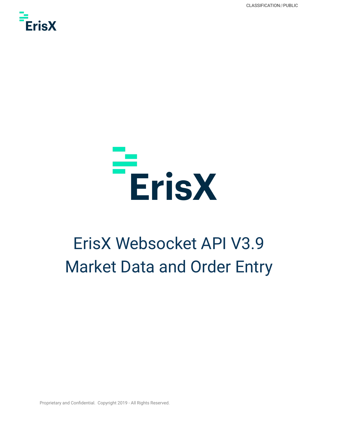CLASSIFICATION//PUBLIC





## ErisX Websocket API V3.9 Market Data and Order Entry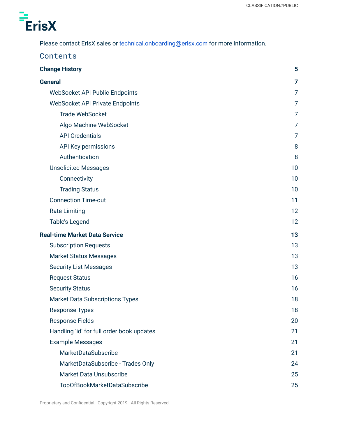

Please contact ErisX sales or **[technical.onboarding@erisx.com](mailto:technical.onboarding@erisx.com)** for more information.

| Contents                                  |    |
|-------------------------------------------|----|
| <b>Change History</b>                     | 5  |
| <b>General</b>                            | 7  |
| <b>WebSocket API Public Endpoints</b>     | 7  |
| <b>WebSocket API Private Endpoints</b>    | 7  |
| <b>Trade WebSocket</b>                    | 7  |
| Algo Machine WebSocket                    | 7  |
| <b>API Credentials</b>                    | 7  |
| API Key permissions                       | 8  |
| Authentication                            | 8  |
| <b>Unsolicited Messages</b>               | 10 |
| Connectivity                              | 10 |
| <b>Trading Status</b>                     | 10 |
| <b>Connection Time-out</b>                | 11 |
| <b>Rate Limiting</b>                      | 12 |
| <b>Table's Legend</b>                     | 12 |
| <b>Real-time Market Data Service</b>      | 13 |
| <b>Subscription Requests</b>              | 13 |
| <b>Market Status Messages</b>             | 13 |
| <b>Security List Messages</b>             | 13 |
| <b>Request Status</b>                     | 16 |
| <b>Security Status</b>                    | 16 |
| <b>Market Data Subscriptions Types</b>    | 18 |
| <b>Response Types</b>                     | 18 |
| <b>Response Fields</b>                    | 20 |
| Handling 'id' for full order book updates | 21 |
| <b>Example Messages</b>                   | 21 |
| MarketDataSubscribe                       | 21 |
| MarketDataSubscribe - Trades Only         | 24 |
| <b>Market Data Unsubscribe</b>            | 25 |
| TopOfBookMarketDataSubscribe              | 25 |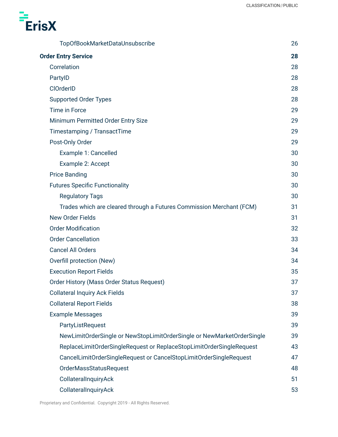

| TopOfBookMarketDataUnsubscribe                                         | 26 |
|------------------------------------------------------------------------|----|
| <b>Order Entry Service</b>                                             | 28 |
| Correlation                                                            | 28 |
| PartyID                                                                | 28 |
| <b>ClOrderID</b>                                                       | 28 |
| <b>Supported Order Types</b>                                           | 28 |
| Time in Force                                                          | 29 |
| Minimum Permitted Order Entry Size                                     | 29 |
| Timestamping / TransactTime                                            | 29 |
| Post-Only Order                                                        | 29 |
| Example 1: Cancelled                                                   | 30 |
| Example 2: Accept                                                      | 30 |
| <b>Price Banding</b>                                                   | 30 |
| <b>Futures Specific Functionality</b>                                  | 30 |
| <b>Regulatory Tags</b>                                                 | 30 |
| Trades which are cleared through a Futures Commission Merchant (FCM)   | 31 |
| New Order Fields                                                       | 31 |
| <b>Order Modification</b>                                              | 32 |
| <b>Order Cancellation</b>                                              | 33 |
| <b>Cancel All Orders</b>                                               | 34 |
| Overfill protection (New)                                              | 34 |
| <b>Execution Report Fields</b>                                         | 35 |
| Order History (Mass Order Status Request)                              | 37 |
| <b>Collateral Inquiry Ack Fields</b>                                   | 37 |
| <b>Collateral Report Fields</b>                                        | 38 |
| <b>Example Messages</b>                                                | 39 |
| PartyListRequest                                                       | 39 |
| NewLimitOrderSingle or NewStopLimitOrderSingle or NewMarketOrderSingle | 39 |
| ReplaceLimitOrderSingleRequest or ReplaceStopLimitOrderSingleRequest   | 43 |
| CancelLimitOrderSingleRequest or CancelStopLimitOrderSingleRequest     | 47 |
| <b>OrderMassStatusRequest</b>                                          | 48 |
| CollateralInquiryAck                                                   | 51 |
| CollateralInquiryAck                                                   | 53 |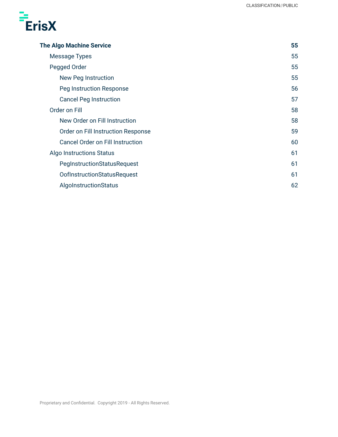

| <b>The Algo Machine Service</b>         | 55 |
|-----------------------------------------|----|
| Message Types                           | 55 |
| Pegged Order                            | 55 |
| New Peg Instruction                     | 55 |
| Peg Instruction Response                | 56 |
| <b>Cancel Peg Instruction</b>           | 57 |
| Order on Fill                           | 58 |
| New Order on Fill Instruction           | 58 |
| Order on Fill Instruction Response      | 59 |
| <b>Cancel Order on Fill Instruction</b> | 60 |
| <b>Algo Instructions Status</b>         | 61 |
| PegInstructionStatusRequest             | 61 |
| <b>OofInstructionStatusRequest</b>      | 61 |
| AlgoInstructionStatus                   | 62 |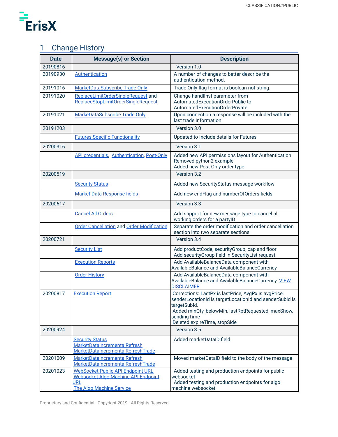

## <span id="page-4-0"></span>1 Change History

| <b>Date</b> | <b>Message(s) or Section</b>                                                                                       | <b>Description</b>                                                                                                                                                                                                                   |
|-------------|--------------------------------------------------------------------------------------------------------------------|--------------------------------------------------------------------------------------------------------------------------------------------------------------------------------------------------------------------------------------|
| 20190816    |                                                                                                                    | Version 1.0                                                                                                                                                                                                                          |
| 20190930    | <b>Authentication</b>                                                                                              | A number of changes to better describe the<br>authentication method.                                                                                                                                                                 |
| 20191016    | MarketDataSubscribe Trade Only                                                                                     | Trade Only flag format is boolean not string.                                                                                                                                                                                        |
| 20191020    | ReplaceLimitOrderSingleRequest and<br>ReplaceStopLimitOrderSingleRequest                                           | Change handlinst parameter from<br>AutomatedExecutionOrderPublic to<br>AutomatedExecutionOrderPrivate                                                                                                                                |
| 20191021    | MarkeDataSubscribe Trade Only                                                                                      | Upon connection a response will be included with the<br>last trade information.                                                                                                                                                      |
| 20191203    |                                                                                                                    | Version 3.0                                                                                                                                                                                                                          |
|             | <b>Futures Specific Functionality</b>                                                                              | Updated to Include details for Futures                                                                                                                                                                                               |
| 20200316    |                                                                                                                    | Version 3.1                                                                                                                                                                                                                          |
|             | API credentials, Authentication, Post-Only                                                                         | Added new API permissions layout for Authentication<br>Removed python2 example<br>Added new Post-Only order type                                                                                                                     |
| 20200519    |                                                                                                                    | Version 3.2                                                                                                                                                                                                                          |
|             | <b>Security Status</b>                                                                                             | Added new SecurityStatus message workflow                                                                                                                                                                                            |
|             | <b>Market Data Response fields</b>                                                                                 | Add new endFlag and numberOfOrders fields                                                                                                                                                                                            |
| 20200617    |                                                                                                                    | Version 3.3                                                                                                                                                                                                                          |
|             | <b>Cancel All Orders</b>                                                                                           | Add support for new message type to cancel all<br>working orders for a partylD                                                                                                                                                       |
|             | <b>Order Cancellation and Order Modification</b>                                                                   | Separate the order modification and order cancellation<br>section into two separate sections                                                                                                                                         |
| 20200721    |                                                                                                                    | Version 3.4                                                                                                                                                                                                                          |
|             | <b>Security List</b>                                                                                               | Add productCode, securityGroup, cap and floor<br>Add securityGroup field in SecurityList request                                                                                                                                     |
|             | <b>Execution Reports</b>                                                                                           | Add AvailableBalanceData component with<br>AvailableBalance and AvailableBalanceCurrency                                                                                                                                             |
|             | <b>Order History</b>                                                                                               | Add AvailableBalanceData component with<br>AvailableBalance and AvailableBalanceCurrency. VIEW<br><b>DISCLAIMER</b>                                                                                                                  |
| 20200817    | <b>Execution Report</b>                                                                                            | Corrections: LastPx is lastPrice, AvgPx is avgPrice,<br>senderLocationId is targetLocationId and senderSubId is<br>targetSubld.<br>Added minQty, belowMin, lastRptRequested, maxShow,<br>sendingTime<br>Deleted expireTime, stopSide |
| 20200924    |                                                                                                                    | Version 3.5                                                                                                                                                                                                                          |
|             | <b>Security Status</b><br>MarketDataIncrementalRefresh<br>MarketDataIncrementalRefreshTrade                        | Added marketDataID field                                                                                                                                                                                                             |
| 20201009    | MarketDataIncrementalRefresh<br>MarketDataIncrementalRefreshTrade                                                  | Moved marketDataID field to the body of the message                                                                                                                                                                                  |
| 20201023    | <b>WebSocket Public API Endpoint URL</b><br>Websocket Algo Machine API Endpoint<br>Url<br>The Algo Machine Service | Added testing and production endpoints for public<br>websocket<br>Added testing and production endpoints for algo<br>machine websocket                                                                                               |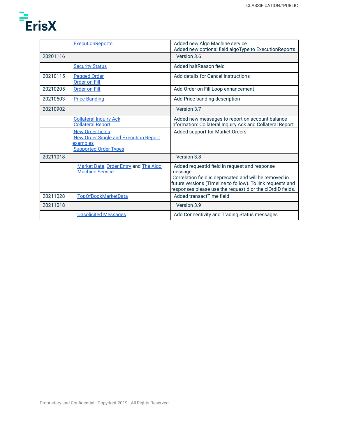

|          | <b>ExecutionReports</b>                                                                                             | Added new Algo Machine service<br>Added new optional field algoType to ExecutionReports                                                                                                                                                        |
|----------|---------------------------------------------------------------------------------------------------------------------|------------------------------------------------------------------------------------------------------------------------------------------------------------------------------------------------------------------------------------------------|
| 20201116 |                                                                                                                     | Version 3.6                                                                                                                                                                                                                                    |
|          | <b>Security Status</b>                                                                                              | Added haltReason field                                                                                                                                                                                                                         |
| 20210115 | <b>Pegged Order</b><br><b>Order on Fill</b>                                                                         | Add details for Cancel Instructions                                                                                                                                                                                                            |
| 20210205 | <b>Order on Fill</b>                                                                                                | Add Order on Fill Loop enhancement                                                                                                                                                                                                             |
| 20210503 | <b>Price Banding</b>                                                                                                | Add Price banding description                                                                                                                                                                                                                  |
| 20210902 |                                                                                                                     | Version 3.7                                                                                                                                                                                                                                    |
|          | <b>Collateral Inquiry Ack</b><br><b>Collateral Report</b>                                                           | Added new messages to report on account balance<br>information: Collateral Inquiry Ack and Collateral Report                                                                                                                                   |
|          | <b>New Order fields</b><br><b>New Order Single and Execution Report</b><br>examples<br><b>Supported Order Types</b> | Added support for Market Orders                                                                                                                                                                                                                |
| 20211018 |                                                                                                                     | Version 3.8                                                                                                                                                                                                                                    |
|          | Market Data, Order Entry and The Algo<br><b>Machine Service</b>                                                     | Added requestId field in request and response<br>message.<br>Correlation field is deprecated and will be removed in<br>future versions (Timeline to follow). To link requests and<br>responses please use the requestId or the clOrdID fields. |
| 20211028 | <b>TopOfBookMarketData</b>                                                                                          | Added transactTime field                                                                                                                                                                                                                       |
| 20211018 |                                                                                                                     | Version 3.9                                                                                                                                                                                                                                    |
|          | <b>Unsolicited Messages</b>                                                                                         | Add Connectivity and Trading Status messages                                                                                                                                                                                                   |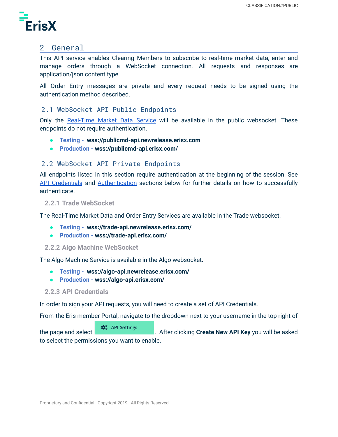

## <span id="page-6-0"></span>2 General

This API service enables Clearing Members to subscribe to real-time market data, enter and manage orders through a WebSocket connection. All requests and responses are application/json content type.

All Order Entry messages are private and every request needs to be signed using the authentication method described.

## <span id="page-6-1"></span>2.1 WebSocket API Public Endpoints

Only the [Real-Time](#page-12-0) Market Data Service will be available in the public websocket. These endpoints do not require authentication.

- **● Testing - wss://publicmd-api.newrelease.erisx.com**
- **● Production - wss://publicmd-api.erisx.com/**

## <span id="page-6-2"></span>2.2 WebSocket API Private Endpoints

All endpoints listed in this section require authentication at the beginning of the session. See API [Credentials](#page-6-5) and [Authentication](#page-7-1) sections below for further details on how to successfully authenticate.

#### <span id="page-6-3"></span>**2.2.1 Trade WebSocket**

The Real-Time Market Data and Order Entry Services are available in the Trade websocket.

- **● Testing - wss://trade-api.newrelease.erisx.com/**
- **● Production - wss://trade-api.erisx.com/**

#### <span id="page-6-4"></span>**2.2.2 Algo Machine WebSocket**

The Algo Machine Service is available in the Algo websocket.

- **● Testing - wss://algo-api.newrelease.erisx.com/**
- **● Production - wss://algo-api.erisx.com/**

#### <span id="page-6-5"></span>**2.2.3 API Credentials**

In order to sign your API requests, you will need to create a set of API Credentials.

From the Eris member Portal, navigate to the dropdown next to your username in the top right of

 $\mathbf{\hat{Q}}_{o}^{o}$  API Settings the page and select . After clicking **Create New API Key** you will be asked to select the permissions you want to enable.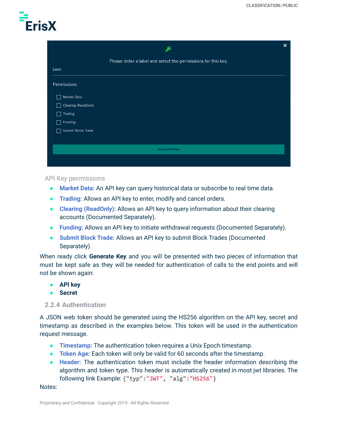

|                     | ∙                                                             | $\pmb{\times}$ |
|---------------------|---------------------------------------------------------------|----------------|
|                     | Please enter a label and select the permissions for this key. |                |
| Label               |                                                               |                |
| Permissions         |                                                               |                |
| Market Data         |                                                               |                |
| Clearing (ReadOnly) |                                                               |                |
| <b>Trading</b>      |                                                               |                |
| Funding             |                                                               |                |
| Submit Block Trade  |                                                               |                |
|                     |                                                               |                |
|                     | <b>Generate Key</b>                                           |                |
|                     |                                                               |                |

#### <span id="page-7-0"></span>API Key permissions

- **Market Data:** An API key can query historical data or subscribe to real time data.
- **Trading:** Allows an API key to enter, modify and cancel orders.
- **Clearing (ReadOnly):** Allows an API key to query information about their clearing accounts (Documented Separately).
- **Funding:** Allows an API key to initiate withdrawal requests (Documented Separately).
- **Submit Block Trade:** Allows an API key to submit Block Trades (Documented Separately).

When ready click **Generate Key** and you will be presented with two pieces of information that must be kept safe as they will be needed for authentication of calls to the end points and will not be shown again:

- **● API key**
- **● Secret**

#### <span id="page-7-1"></span>**2.2.4 Authentication**

A JSON web token should be generated using the HS256 algorithm on the API key, secret and timestamp as described in the examples below. This token will be used in the authentication request message.

- **Timestamp:** The authentication token requires a Unix Epoch timestamp.
- **Token Age:** Each token will only be valid for 60 seconds after the timestamp.
- **Header:** The authentication token must include the header information describing the algorithm and token type. This header is automatically created in most jwt libraries. The following link Example: {"typ":"JWT", "alg":"HS256"}

#### Notes: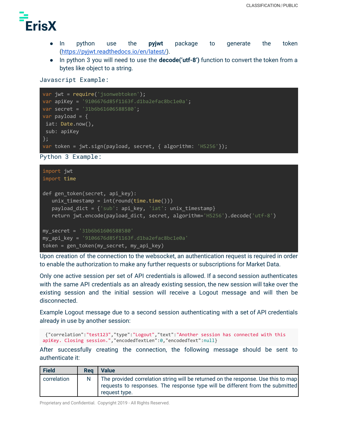

- In python use the **pyjwt** package to generate the token ([https://pyjwt.readthedocs.io/en/latest/\)](https://pyjwt.readthedocs.io/en/latest/).
- In python 3 you will need to use the **decode('utf-8')** function to convert the token from a bytes like object to a string.

#### Javascript Example:

```
var jwt = require('jsonwebtoken');
var apiKey = '9106676d85f1163f.d1ba2efac8bc1e0a';
var secret = '31b6b61606588580';
var payload = \{iat: Date.now(),
sub: apiKey
};
var token = jwt.sign(payload, secret, { algorithm: 'HS256'});
```
Python 3 Example:

```
import jwt
import time
def gen_token(secret, api_key):
   unix timestamp = int(round(time.time())payload_dict = {'sub': api_key, 'iat': unix_timestamp}
   return jwt.encode(payload_dict, secret, algorithm='HS256').decode('utf-8')
my_secret = '31b6b61606588580'
my_api_key = '9106676d85f1163f.d1ba2efac8bc1e0a'
token = gen_token(my_secret, my_api_key)
```
Upon creation of the connection to the websocket, an authentication request is required in order to enable the authorization to make any further requests or subscriptions for Market Data.

Only one active session per set of API credentials is allowed. If a second session authenticates with the same API credentials as an already existing session, the new session will take over the existing session and the initial session will receive a Logout message and will then be disconnected.

Example Logout message due to a second session authenticating with a set of API credentials already in use by another session:

```
{"correlation":"test123","type":"Logout","text":"Another session has connected with this
apiKey. Closing session.","encodedTextLen":0,"encodedText":null}
```
After successfully creating the connection, the following message should be sent to authenticate it:

| Field       | Rea | <b>Value</b>                                                                                                                                                                        |
|-------------|-----|-------------------------------------------------------------------------------------------------------------------------------------------------------------------------------------|
| correlation |     | The provided correlation string will be returned on the response. Use this to map<br>requests to responses. The response type will be different from the submitted<br>request type. |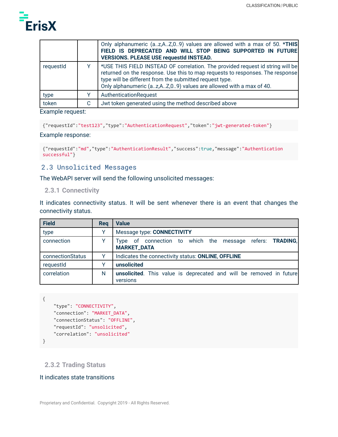

|           |   | Only alphanumeric (az,AZ,09) values are allowed with a max of 50. *THIS<br>FIELD IS DEPRECATED AND WILL STOP BEING SUPPORTED IN FUTURE<br><b>VERSIONS. PLEASE USE requestId INSTEAD.</b>                                                                                                        |
|-----------|---|-------------------------------------------------------------------------------------------------------------------------------------------------------------------------------------------------------------------------------------------------------------------------------------------------|
| requestid |   | *USE THIS FIELD INSTEAD OF correlation. The provided request id string will be<br>returned on the response. Use this to map requests to responses. The response<br>type will be different from the submitted request type.<br>Only alphanumeric (az,AZ,09) values are allowed with a max of 40. |
| type      |   | AuthenticationRequest                                                                                                                                                                                                                                                                           |
| token     | C | Jwt token generated using the method described above                                                                                                                                                                                                                                            |
|           |   |                                                                                                                                                                                                                                                                                                 |

#### Example request:

```
{"requestId":"test123","type":"AuthenticationRequest","token":"jwt-generated-token"}
```
#### Example response:

```
{"requestId":"md","type":"AuthenticationResult","success":true,"message":"Authentication
successful"}
```
#### <span id="page-9-0"></span>2.3 Unsolicited Messages

The WebAPI server will send the following unsolicited messages:

#### <span id="page-9-1"></span>**2.3.1 Connectivity**

It indicates connectivity status. It will be sent whenever there is an event that changes the connectivity status.

| <b>Field</b>     | Reg | <b>Value</b>                                                                      |
|------------------|-----|-----------------------------------------------------------------------------------|
| type             |     | Message type: CONNECTIVITY                                                        |
| connection       | v   | of connection to which the message refers: TRADING,<br>Iype<br><b>MARKET_DATA</b> |
| connectionStatus | Υ   | Indicates the connectivity status: ONLINE, OFFLINE                                |
| requestId        | v   | unsolicited                                                                       |
| correlation      | N   | unsolicited. This value is deprecated and will be removed in future<br>versions   |

```
{
    "type": "CONNECTIVITY",
   "connection": "MARKET_DATA",
    "connectionStatus": "OFFLINE",
   "requestId": "unsolicited",
   "correlation": "unsolicited"
}
```
### <span id="page-9-2"></span>**2.3.2 Trading Status**

#### It indicates state transitions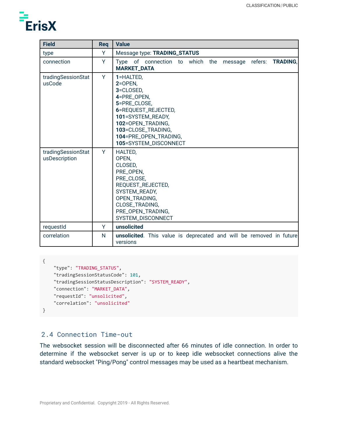

| <b>Field</b>                        | Req | <b>Value</b>                                                                                                                                                                                               |
|-------------------------------------|-----|------------------------------------------------------------------------------------------------------------------------------------------------------------------------------------------------------------|
| type                                | Ÿ   | Message type: TRADING_STATUS                                                                                                                                                                               |
| connection                          | Y   | <b>TRADING,</b><br>Type of connection to which the<br>refers:<br>message<br><b>MARKET_DATA</b>                                                                                                             |
| tradingSessionStat<br>usCode        | Y   | 1=HALTED,<br>$2=OPEN$<br>3=CLOSED,<br>4=PRE_OPEN,<br>5=PRE_CLOSE,<br>6=REQUEST_REJECTED,<br>101=SYSTEM_READY,<br>102=OPEN_TRADING,<br>103=CLOSE_TRADING,<br>104=PRE_OPEN_TRADING,<br>105=SYSTEM_DISCONNECT |
| tradingSessionStat<br>usDescription | Y   | <b>HALTED,</b><br>OPEN,<br>CLOSED,<br>PRE_OPEN,<br>PRE_CLOSE,<br>REQUEST_REJECTED,<br>SYSTEM_READY,<br>OPEN_TRADING,<br>CLOSE_TRADING,<br>PRE_OPEN_TRADING,<br>SYSTEM_DISCONNECT                           |
| requestId                           | Y   | unsolicited                                                                                                                                                                                                |
| correlation                         | N   | <b>unsolicited</b> . This value is deprecated and will be removed in future<br>versions                                                                                                                    |

```
{
    "type": "TRADING_STATUS",
    "tradingSessionStatusCode": 101,
    "tradingSessionStatusDescription": "SYSTEM_READY",
    "connection": "MARKET_DATA",
    "requestId": "unsolicited",
    "correlation": "unsolicited"
}
```
#### <span id="page-10-0"></span>2.4 Connection Time-out

The websocket session will be disconnected after 66 minutes of idle connection. In order to determine if the websocket server is up or to keep idle websocket connections alive the standard websocket "Ping/Pong" control messages may be used as a heartbeat mechanism.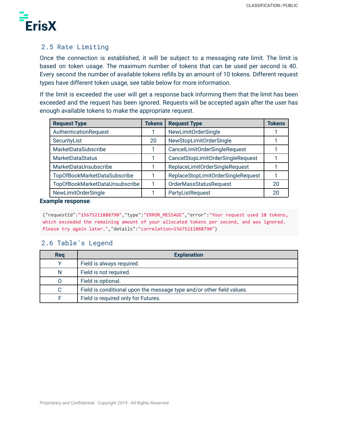

## <span id="page-11-0"></span>2.5 Rate Limiting

Once the connection is established, it will be subject to a messaging rate limit. The limit is based on token usage. The maximum number of tokens that can be used per second is 40. Every second the number of available tokens refills by an amount of 10 tokens. Different request types have different token usage, see table below for more information.

If the limit is exceeded the user will get a response back informing them that the limit has been exceeded and the request has been ignored. Requests will be accepted again after the user has enough available tokens to make the appropriate request.

| <b>Request Type</b>            | <b>Tokens</b> | <b>Request Type</b>                | Tokens |
|--------------------------------|---------------|------------------------------------|--------|
| AuthenticationRequest          |               | NewLimitOrderSingle                |        |
| SecurityList                   | 20            | NewStopLimitOrderSingle            |        |
| MarketDataSubscribe            |               | CancelLimitOrderSingleRequest      |        |
| <b>MarketDataStatus</b>        |               | CancelStopLimitOrderSingleRequest  |        |
| MarketDataUnsubscribe          |               | ReplaceLimitOrderSingleRequest     |        |
| TopOfBookMarketDataSubscribe   |               | ReplaceStopLimitOrderSingleRequest |        |
| TopOfBookMarketDataUnsubscribe |               | OrderMassStatusRequest             | 20     |
| NewLimitOrderSingle            |               | PartyListRequest                   | 20     |

#### **Example response**:

{"requestId":"15675211888790","type":"ERROR\_MESSAGE","error":"Your request used 10 tokens, which exceeded the remaining amount of your allocated tokens per second, and was ignored. Please try again later.","details":"correlation=15675211888790"}

## <span id="page-11-1"></span>2.6 Table's Legend

| Req | <b>Explanation</b>                                                    |
|-----|-----------------------------------------------------------------------|
|     | Field is always required.                                             |
| N   | Field is not required.                                                |
|     | Field is optional.                                                    |
|     | Field is conditional upon the message type and/or other field values. |
|     | Field is required only for Futures.                                   |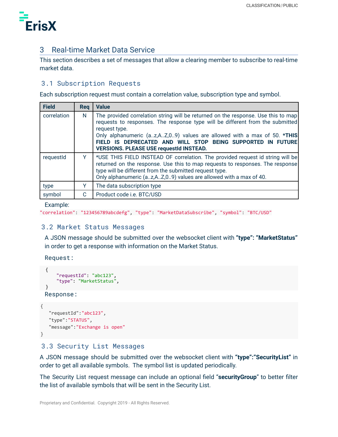

## <span id="page-12-0"></span>3 Real-time Market Data Service

This section describes a set of messages that allow a clearing member to subscribe to real-time market data.

## <span id="page-12-1"></span>3.1 Subscription Requests

Each subscription request must contain a correlation value, subscription type and symbol.

| <b>Field</b> | <b>Reg</b> | <b>Value</b>                                                                                                                                                                                                                                                                                                                                                                    |
|--------------|------------|---------------------------------------------------------------------------------------------------------------------------------------------------------------------------------------------------------------------------------------------------------------------------------------------------------------------------------------------------------------------------------|
| correlation  | N          | The provided correlation string will be returned on the response. Use this to map<br>requests to responses. The response type will be different from the submitted<br>request type.<br>Only alphanumeric (az,AZ,09) values are allowed with a max of 50. *THIS<br>FIELD IS DEPRECATED AND WILL STOP BEING SUPPORTED IN FUTURE<br><b>VERSIONS. PLEASE USE requestId INSTEAD.</b> |
| requestId    | Y          | *USE THIS FIELD INSTEAD OF correlation. The provided request id string will be<br>returned on the response. Use this to map requests to responses. The response<br>type will be different from the submitted request type.<br>Only alphanumeric (az,AZ,09) values are allowed with a max of 40.                                                                                 |
| type         | Y          | The data subscription type                                                                                                                                                                                                                                                                                                                                                      |
| symbol       | C          | Product code <i>i.e.</i> BTC/USD                                                                                                                                                                                                                                                                                                                                                |

Example:

```
"correlation": "123456789abcdefg", "type": "MarketDataSubscribe", "symbol": "BTC/USD"
```
## <span id="page-12-2"></span>3.2 Market Status Messages

A JSON message should be submitted over the websocket client with **"type": "MarketStatus"** in order to get a response with information on the Market Status.

Request:

```
{
    "requestId": "abc123",
    "type": "MarketStatus",
}
```
Response:

```
{
   "requestId":"abc123",
   "type":"STATUS",
   "message":"Exchange is open"
}
```
## <span id="page-12-3"></span>3.3 Security List Messages

A JSON message should be submitted over the websocket client with **"type":"SecurityList"** in order to get all available symbols. The symbol list is updated periodically.

The Security List request message can include an optional field "**securityGroup**" to better filter the list of available symbols that will be sent in the Security List.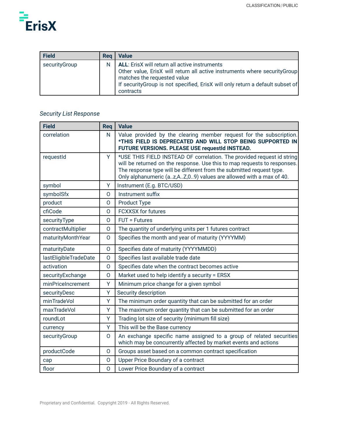

| <b>Field</b>  | Rea | Value                                                                                                                                                                                                                                                           |
|---------------|-----|-----------------------------------------------------------------------------------------------------------------------------------------------------------------------------------------------------------------------------------------------------------------|
| securityGroup | N   | <b>ALL:</b> ErisX will return all active instruments<br>Other value, ErisX will return all active instruments where securityGroup<br>matches the requested value<br>If security Group is not specified, ErisX will only return a default subset of<br>contracts |

## *Security List Response*

| <b>Field</b>          | Req          | <b>Value</b>                                                                                                                                                                                                                                                                                        |
|-----------------------|--------------|-----------------------------------------------------------------------------------------------------------------------------------------------------------------------------------------------------------------------------------------------------------------------------------------------------|
| correlation           | N            | Value provided by the clearing member request for the subscription.<br>*THIS FIELD IS DEPRECATED AND WILL STOP BEING SUPPORTED IN<br>FUTURE VERSIONS. PLEASE USE requestId INSTEAD.                                                                                                                 |
| requestId             | Y            | *USE THIS FIELD INSTEAD OF correlation. The provided request id string<br>will be returned on the response. Use this to map requests to responses.<br>The response type will be different from the submitted request type.<br>Only alphanumeric (az, A Z, 0 9) values are allowed with a max of 40. |
| symbol                | Y            | Instrument (E.g. BTC/USD)                                                                                                                                                                                                                                                                           |
| symbolSfx             | $\Omega$     | Instrument suffix                                                                                                                                                                                                                                                                                   |
| product               | $\mathsf{O}$ | <b>Product Type</b>                                                                                                                                                                                                                                                                                 |
| cfiCode               | $\mathsf{O}$ | <b>FCXXSX</b> for futures                                                                                                                                                                                                                                                                           |
| securityType          | $\Omega$     | $FUT = Futures$                                                                                                                                                                                                                                                                                     |
| contractMultiplier    | 0            | The quantity of underlying units per 1 futures contract                                                                                                                                                                                                                                             |
| maturityMonthYear     | O            | Specifies the month and year of maturity (YYYYMM)                                                                                                                                                                                                                                                   |
| maturityDate          | 0            | Specifies date of maturity (YYYYMMDD)                                                                                                                                                                                                                                                               |
| lastEligibleTradeDate | $\mathsf{O}$ | Specifies last available trade date                                                                                                                                                                                                                                                                 |
| activation            | $\mathsf{O}$ | Specifies date when the contract becomes active                                                                                                                                                                                                                                                     |
| securityExchange      | $\mathsf{O}$ | Market used to help identify a security = ERSX                                                                                                                                                                                                                                                      |
| minPriceIncrement     | Y            | Minimum price change for a given symbol                                                                                                                                                                                                                                                             |
| securityDesc          | Y            | Security description                                                                                                                                                                                                                                                                                |
| minTradeVol           | Y            | The minimum order quantity that can be submitted for an order                                                                                                                                                                                                                                       |
| maxTradeVol           | Y            | The maximum order quantity that can be submitted for an order                                                                                                                                                                                                                                       |
| roundLot              | Y            | Trading lot size of security (minimum fill size)                                                                                                                                                                                                                                                    |
| currency              | Y            | This will be the Base currency                                                                                                                                                                                                                                                                      |
| securityGroup         | 0            | An exchange specific name assigned to a group of related securities<br>which may be concurrently affected by market events and actions                                                                                                                                                              |
| productCode           | $\mathsf{O}$ | Groups asset based on a common contract specification                                                                                                                                                                                                                                               |
| cap                   | 0            | Upper Price Boundary of a contract                                                                                                                                                                                                                                                                  |
| floor                 | $\mathsf{O}$ | Lower Price Boundary of a contract                                                                                                                                                                                                                                                                  |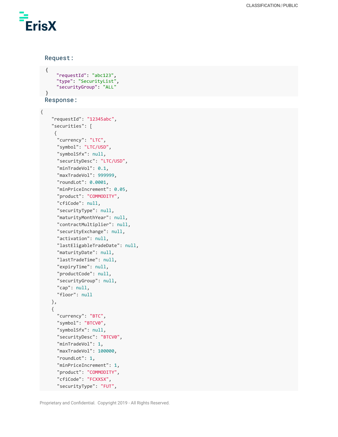ErisX

{

Request:

```
{
    "requestId": "abc123",
    "type": "SecurityList",
    "securityGroup": "ALL"
}
Response:
```

```
"requestId": "12345abc",
"securities": [
 {
  "currency": "LTC",
  "symbol": "LTC/USD",
  "symbolSfx": null,
  "securityDesc": "LTC/USD",
  "minTradeVol": 0.1,
  "maxTradeVol": 999999,
  "roundLot": 0.0001,
  "minPriceIncrement": 0.05,
  "product": "COMMODITY",
  "cfiCode": null,
  "securityType": null,
  "maturityMonthYear": null,
  "contractMultiplier": null,
  "securityExchange": null,
  "activation": null,
  "lastEligableTradeDate": null,
  "maturityDate": null,
  "lastTradeTime": null,
  "expiryTime": null,
  "productCode": null,
  "securityGroup": null,
  "cap": null,
  "floor": null
},
{
  "currency": "BTC",
  "symbol": "BTCV0",
  "symbolSfx": null,
  "securityDesc": "BTCV0",
  "minTradeVol": 1,
  "maxTradeVol": 100000,
  "roundLot": 1,
  "minPriceIncrement": 1,
  "product": "COMMODITY",
  "cfiCode": "FCXXSX",
  "securityType": "FUT",
```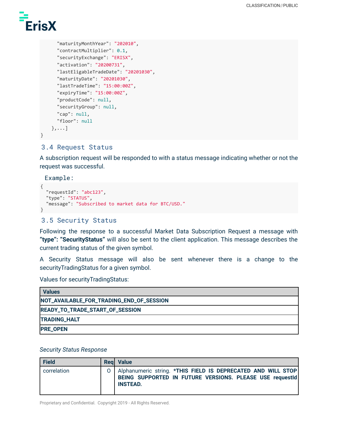

```
"maturityMonthYear": "202010",
  "contractMultiplier": 0.1,
  "securityExchange": "ERISX",
  "activation": "20200731",
  "lastEligableTradeDate": "20201030",
  "maturityDate": "20201030",
  "lastTradeTime": "15:00:00Z",
  "expiryTime": "15:00:00Z",
  "productCode": null,
  "securityGroup": null,
  "cap": null,
  "floor": null
},...]
```
#### <span id="page-15-0"></span>3.4 Request Status

A subscription request will be responded to with a status message indicating whether or not the request was successful.

Example:

}

```
{
  "requestId": "abc123",
  "type": "STATUS",
  "message": "Subscribed to market data for BTC/USD."
}
```
#### <span id="page-15-1"></span>3.5 Security Status

Following the response to a successful Market Data Subscription Request a message with **"type": "SecurityStatus"** will also be sent to the client application. This message describes the current trading status of the given symbol.

A Security Status message will also be sent whenever there is a change to the securityTradingStatus for a given symbol.

Values for securityTradingStatus:

| <b>Values</b>                            |
|------------------------------------------|
| NOT_AVAILABLE_FOR_TRADING_END_OF_SESSION |
| READY_TO_TRADE_START_OF_SESSION          |
| <b>TRADING_HALT</b>                      |
| <b>PRE_OPEN</b>                          |

#### *Security Status Response*

| <b>Field</b> | <b>Reg</b> Value                                                                                                                                |
|--------------|-------------------------------------------------------------------------------------------------------------------------------------------------|
| correlation  | O   Alphanumeric string. *THIS FIELD IS DEPRECATED AND WILL STOP<br>BEING SUPPORTED IN FUTURE VERSIONS. PLEASE USE requestId<br><b>INSTEAD.</b> |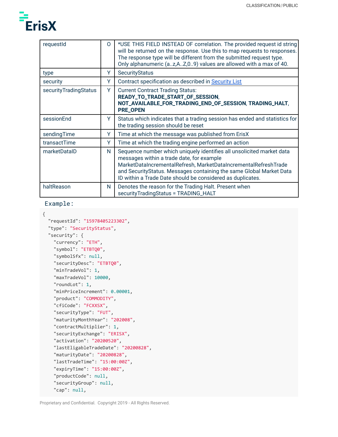

| requestId             | 0 | *USE THIS FIELD INSTEAD OF correlation. The provided request id string<br>will be returned on the response. Use this to map requests to responses.<br>The response type will be different from the submitted request type.<br>Only alphanumeric (az,AZ,09) values are allowed with a max of 40.                             |
|-----------------------|---|-----------------------------------------------------------------------------------------------------------------------------------------------------------------------------------------------------------------------------------------------------------------------------------------------------------------------------|
| type                  | Y | <b>SecurityStatus</b>                                                                                                                                                                                                                                                                                                       |
| security              | Y | Contract specification as described in Security List                                                                                                                                                                                                                                                                        |
| securityTradingStatus | Y | <b>Current Contract Trading Status:</b><br>READY_TO_TRADE_START_OF_SESSION,<br>NOT_AVAILABLE_FOR_TRADING_END_OF_SESSION, TRADING_HALT,<br><b>PRE_OPEN</b>                                                                                                                                                                   |
| sessionEnd            | Y | Status which indicates that a trading session has ended and statistics for<br>the trading session should be reset                                                                                                                                                                                                           |
| sendingTime           | Y | Time at which the message was published from ErisX                                                                                                                                                                                                                                                                          |
| transactTime          | Y | Time at which the trading engine performed an action                                                                                                                                                                                                                                                                        |
| marketDataID          | N | Sequence number which uniquely identifies all unsolicited market data<br>messages within a trade date, for example<br>MarketDataIncrementalRefresh, MarketDataIncrementalRefreshTrade<br>and Security Status. Messages containing the same Global Market Data<br>ID within a Trade Date should be considered as duplicates. |
| haltReason            | N | Denotes the reason for the Trading Halt. Present when<br>securityTradingStatus = TRADING_HALT                                                                                                                                                                                                                               |

#### Example:

```
{
```

```
"requestId": "15978405223302",
"type": "SecurityStatus",
"security": {
  "currency": "ETH",
  "symbol": "ETBTQ0",
  "symbolSfx": null,
  "securityDesc": "ETBTQ0",
  "minTradeVol": 1,
  "maxTradeVol": 10000,
  "roundLot": 1,
  "minPriceIncrement": 0.00001,
  "product": "COMMODITY",
  "cfiCode": "FCXXSX",
  "securityType": "FUT",
  "maturityMonthYear": "202008",
  "contractMultiplier": 1,
  "securityExchange": "ERISX",
  "activation": "20200520",
  "lastEligableTradeDate": "20200828",
  "maturityDate": "20200828",
  "lastTradeTime": "15:00:00Z",
  "expiryTime": "15:00:00Z",
  "productCode": null,
  "securityGroup": null,
  "cap": null,
```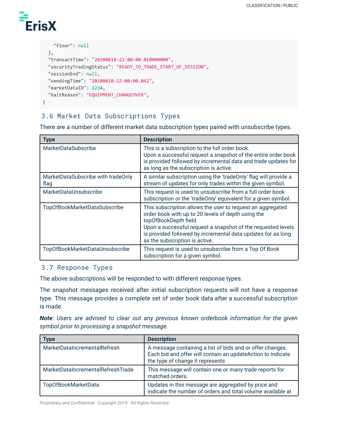# **ErisX**

```
"floor": null
 },
  "transactTime": "20200818-22:00:00.010000000",
  "securityTradingStatus": "READY_TO_TRADE_START_OF_SESSION",
  "sessionEnd": null,
  "sendingTime": "20200818-22:00:00.042",
 "marketDataID": 1234,
 "haltReason": "EQUIPMENT_CHANGEOVER",
}
```
## <span id="page-17-0"></span>3.6 Market Data Subscriptions Types

There are a number of different market data subscription types paired with unsubscribe types.

| <b>Type</b>                                | <b>Description</b>                                                                                                                                                                                                                                                                                          |
|--------------------------------------------|-------------------------------------------------------------------------------------------------------------------------------------------------------------------------------------------------------------------------------------------------------------------------------------------------------------|
| <b>MarketDataSubscribe</b>                 | This is a subscription to the full order book.<br>Upon a successful request a snapshot of the entire order book<br>is provided followed by incremental data and trade updates for<br>as long as the subscription is active.                                                                                 |
| MarketDataSubscribe with tradeOnly<br>flag | A similar subscription using the 'tradeOnly' flag will provide a<br>stream of updates for only trades within the given symbol.                                                                                                                                                                              |
| MarketDataUnsubscribe                      | This request is used to unsubscribe from a full order book<br>subscription or the 'tradeOnly' equivalent for a given symbol.                                                                                                                                                                                |
| TopOfBookMarketDataSubscribe               | This subscription allows the user to request an aggregated<br>order book with up to 20 levels of depth using the<br>topOfBookDepth field.<br>Upon a successful request a snapshot of the requested levels<br>is provided followed by incremental data updates for as long<br>as the subscription is active. |
| TopOfBookMarketDataUnsubscribe             | This request is used to unsubscribe from a Top Of Book<br>subscription for a given symbol.                                                                                                                                                                                                                  |

## <span id="page-17-1"></span>3.7 Response Types

The above subscriptions will be responded to with different response types.

The snapshot messages received after initial subscription requests will not have a response type. This message provides a complete set of order book data after a successful subscription is made.

*Note: Users are advised to clear out any previous known orderbook information for the given symbol prior to processing a snapshot message.*

| Type                              | <b>Description</b>                                                                                                                                           |
|-----------------------------------|--------------------------------------------------------------------------------------------------------------------------------------------------------------|
| MarketDataIncrementalRefresh      | A message containing a list of bids and or offer changes.<br>Each bid and offer will contain an updateAction to indicate<br>the type of change it represents |
| MarketDataIncrementalRefreshTrade | This message will contain one or many trade reports for<br>matched orders.                                                                                   |
| TopOfBookMarketData               | Updates in this message are aggregated by price and<br>indicate the number of orders and total volume available at                                           |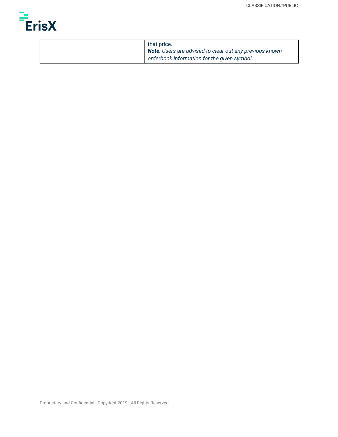

| that price.<br>Note: Users are advised to clear out any previous known |
|------------------------------------------------------------------------|
| orderbook information for the given symbol.                            |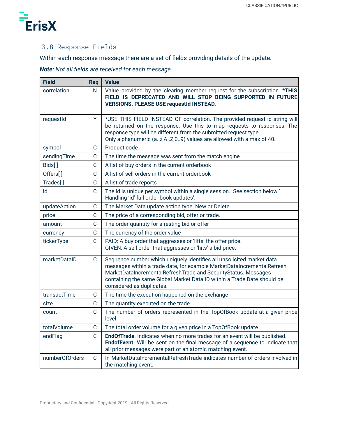

## <span id="page-19-0"></span>3.8 Response Fields

Within each response message there are a set of fields providing details of the update.

*Note: Not all fields are received for each message.*

| <b>Field</b>         | Req          | <b>Value</b>                                                                                                                                                                                                                                                                                                               |
|----------------------|--------------|----------------------------------------------------------------------------------------------------------------------------------------------------------------------------------------------------------------------------------------------------------------------------------------------------------------------------|
| correlation          | N            | Value provided by the clearing member request for the subscription. *THIS<br>FIELD IS DEPRECATED AND WILL STOP BEING SUPPORTED IN FUTURE<br><b>VERSIONS. PLEASE USE requestId INSTEAD.</b>                                                                                                                                 |
| requestId            | Y            | *USE THIS FIELD INSTEAD OF correlation. The provided request id string will<br>be returned on the response. Use this to map requests to responses. The<br>response type will be different from the submitted request type.<br>Only alphanumeric (az, A Z, 0 9) values are allowed with a max of 40.                        |
| symbol               | C            | Product code                                                                                                                                                                                                                                                                                                               |
| sendingTime          | C            | The time the message was sent from the match engine                                                                                                                                                                                                                                                                        |
| Bids[]               | С            | A list of buy orders in the current orderbook                                                                                                                                                                                                                                                                              |
| Offers[]             | $\mathsf{C}$ | A list of sell orders in the current orderbook                                                                                                                                                                                                                                                                             |
| Trades <sup>[]</sup> | $\mathsf{C}$ | A list of trade reports                                                                                                                                                                                                                                                                                                    |
| id                   | C            | The id is unique per symbol within a single session. See section below '<br>Handling 'id' full order book updates'.                                                                                                                                                                                                        |
| updateAction         | C            | The Market Data update action type. New or Delete                                                                                                                                                                                                                                                                          |
| price                | $\mathsf{C}$ | The price of a corresponding bid, offer or trade.                                                                                                                                                                                                                                                                          |
| amount               | $\mathsf{C}$ | The order quantity for a resting bid or offer                                                                                                                                                                                                                                                                              |
| currency             | $\mathsf C$  | The currency of the order value                                                                                                                                                                                                                                                                                            |
| tickerType           | C            | PAID: A buy order that aggresses or 'lifts' the offer price.<br>GIVEN: A sell order that aggresses or 'hits' a bid price.                                                                                                                                                                                                  |
| marketDataID         | $\mathbf C$  | Sequence number which uniquely identifies all unsolicited market data<br>messages within a trade date, for example MarketDataIncrementalRefresh,<br>MarketDataIncrementalRefreshTrade and SecurityStatus. Messages<br>containing the same Global Market Data ID within a Trade Date should be<br>considered as duplicates. |
| transactTime         | $\mathbf C$  | The time the execution happened on the exchange                                                                                                                                                                                                                                                                            |
| size                 | $\mathbf C$  | The quantity executed on the trade                                                                                                                                                                                                                                                                                         |
| count                | $\mathsf{C}$ | The number of orders represented in the TopOfBook update at a given price<br>level                                                                                                                                                                                                                                         |
| totalVolume          | $\mathbf C$  | The total order volume for a given price in a TopOfBook update                                                                                                                                                                                                                                                             |
| endFlag              | $\mathbf C$  | EndOfTrade. Indicates when no more trades for an event will be published.<br>EndofEvent. Will be sent on the final message of a sequence to indicate that<br>all prior messages were part of an atomic matching event.                                                                                                     |
| numberOfOrders       | $\mathbf C$  | In MarketDataIncrementalRefreshTrade indicates number of orders involved in<br>the matching event.                                                                                                                                                                                                                         |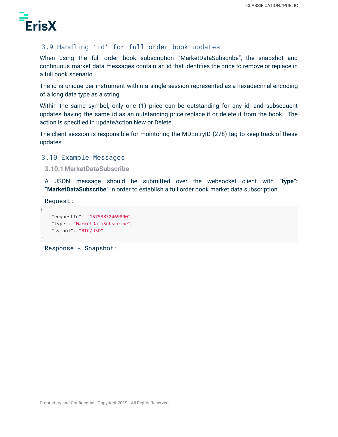

## <span id="page-20-0"></span>3.9 Handling 'id' for full order book updates

When using the full order book subscription "MarketDataSubscribe", the snapshot and continuous market data messages contain an id that identifies the price to remove or replace in a full book scenario.

The id is unique per instrument within a single session represented as a hexadecimal encoding of a long data type as a string.

Within the same symbol, only one (1) price can be outstanding for any id, and subsequent updates having the same id as an outstanding price replace it or delete it from the book. The action is specified in updateAction New or Delete.

The client session is responsible for monitoring the MDEntryID (278) tag to keep track of these updates.

#### <span id="page-20-1"></span>3.10 Example Messages

<span id="page-20-2"></span>**3.10.1MarketDataSubscribe**

A JSON message should be submitted over the websocket client with **"type": "MarketDataSubscribe"** in order to establish a full order book market data subscription.

```
Request:
```

```
{
    "requestId": "15753832469890",
    "type": "MarketDataSubscribe",
    "symbol": "BTC/USD"
}
```
Response - Snapshot: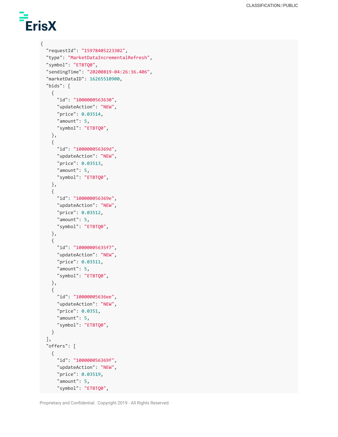# ErisX

{

```
"requestId": "15978405223302",
"type": "MarketDataIncrementalRefresh",
"symbol": "ETBTQ0",
"sendingTime": "20200819-04:26:36.406",
"marketDataID": 16265510900,
"bids": [
 {
   "id": "1000000563630",
    "updateAction": "NEW",
    "price": 0.03514,
   "amount": 5,
    "symbol": "ETBTQ0",
 },
  {
   "id": "100000056369d",
   "updateAction": "NEW",
   "price": 0.03513,
   "amount": 5,
    "symbol": "ETBTQ0",
 },
  {
   "id": "100000056369e",
   "updateAction": "NEW",
    "price": 0.03512,
   "amount": 5,
    "symbol": "ETBTQ0",
 },
 {
   "id": "10000005635f7",
   "updateAction": "NEW",
    "price": 0.03511,
   "amount": 5,
    "symbol": "ETBTQ0",
 },
 {
   "id": "10000005636ee",
   "updateAction": "NEW",
    "price": 0.0351,
   "amount": 5,
    "symbol": "ETBTQ0",
 }
],
"offers": [
  {
    "id": "100000056369f",
    "updateAction": "NEW",
    "price": 0.03519,
    "amount": 5,
   "symbol": "ETBTQ0",
```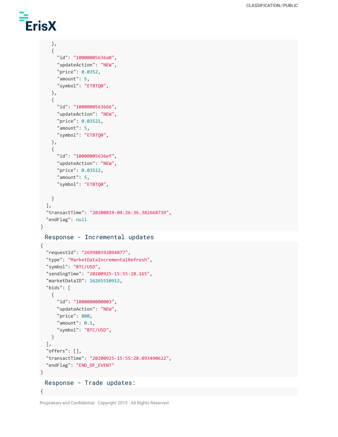## ErisX

```
},
    {
      "id": "10000005636a0",
      "updateAction": "NEW",
      "price": 0.0352,
      "amount": 5,
      "symbol": "ETBTQ0",
    },
    {
     "id": "1000000563666",
      "updateAction": "NEW",
      "price": 0.03521,
      "amount": 5,
      "symbol": "ETBTQ0",
    },
    {
     "id": "10000005636ef",
      "updateAction": "NEW",
      "price": 0.03522,
      "amount": 5,
      "symbol": "ETBTQ0",
   }
  ],
  "transactTime": "20200819-04:26:36.382668739",
  "endFlag": null
}
```
Response - Incremental updates

```
{
  "requestId": "269980392094877",
  "type": "MarketDataIncrementalRefresh",
  "symbol": "BTC/USD",
  "sendingTime": "20200925-15:55:28.165",
  "marketDataID": 16265510912,
  "bids": [
   {
     "id": "1000000000003",
     "updateAction": "NEW",
     "price": 800,
     "amount": 0.1,
     "symbol": "BTC/USD",
   }
  ],
  "offers": [],
  "transactTime": "20200925-15:55:28.093490622",
 "endFlag": "END_OF_EVENT"
}
 Response - Trade updates:
```
Proprietary and Confidential. Copyright 2019 - All Rights Reserved.

{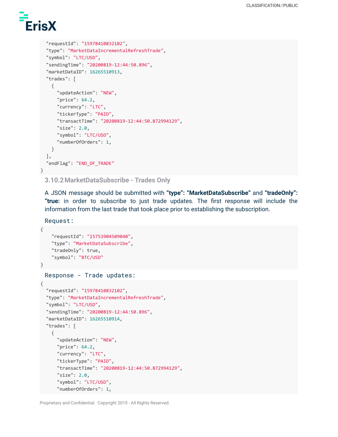

```
"requestId": "15978410832102",
  "type": "MarketDataIncrementalRefreshTrade",
  "symbol": "LTC/USD",
  "sendingTime": "20200819-12:44:50.896",
  "marketDataID": 16265510913,
  "trades": [
   {
     "updateAction": "NEW",
     "price": 64.2,
      "currency": "LTC",
      "tickerType": "PAID",
      "transactTime": "20200819-12:44:50.872994129",
      "size": 2.0,
     "symbol": "LTC/USD",
      "numberOfOrders": 1,
   }
 ],
  "endFlag": "END_OF_TRADE"
}
```
<span id="page-23-0"></span>**3.10.2MarketDataSubscribe - Trades Only**

A JSON message should be submitted with **"type": "MarketDataSubscribe"** and **"tradeOnly": "true:** in order to subscribe to just trade updates. The first response will include the information from the last trade that took place prior to establishing the subscription.

Request:

```
{
    "requestId": "15753904509040",
    "type": "MarketDataSubscribe",
    "tradeOnly": true,
    "symbol": "BTC/USD"
}
```
Response - Trade updates:

```
{
  "requestId": "15978410832102",
  "type": "MarketDataIncrementalRefreshTrade",
  "symbol": "LTC/USD",
  "sendingTime": "20200819-12:44:50.896",
  "marketDataID": 16265510914,
  "trades": [
   {
      "updateAction": "NEW",
      "price": 64.2,
      "currency": "LTC",
      "tickerType": "PAID",
      "transactTime": "20200819-12:44:50.872994129",
      "size": 2.0,
      "symbol": "LTC/USD",
      "numberOfOrders": 1,
```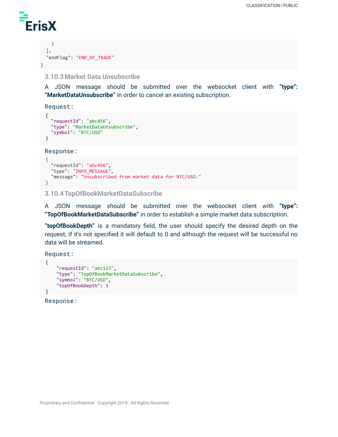

```
}
 ],
  "endFlag": "END_OF_TRADE"
}
```
#### <span id="page-24-0"></span>**3.10.3Market Data Unsubscribe**

A JSON message should be submitted over the websocket client with **"type": "MarketDataUnsubscribe"** in order to cancel an existing subscription.

Request:

```
{
  "requestId": "abc456",
  "type": "MarketDataUnsubscribe",
  "symbol": "BTC/USD"
}
```
Response:

```
{
 "requestId": "abc456",
  "type": "INFO_MESSAGE",
  "message": "Unsubscribed from market data for BTC/USD."
}
```
#### <span id="page-24-1"></span>**3.10.4TopOfBookMarketDataSubscribe**

A JSON message should be submitted over the websocket client with **"type": "TopOfBookMarketDataSubscribe"** in order to establish a simple market data subscription.

**"topOfBookDepth"** is a mandatory field, the user should specify the desired depth on the request, if it's not specified it will default to 0 and although the request will be successful no data will be streamed.

Request:

```
{
    "requestId": "abc123",
    "type": "TopOfBookMarketDataSubscribe",
    "symbol": "BTC/USD",
    "topOfBookDepth": 3
}
```
Response: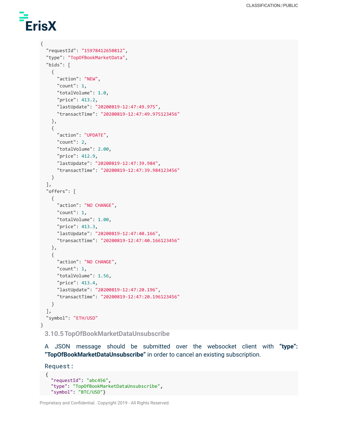# ErisX

```
{
  "requestId": "15978412650812",
  "type": "TopOfBookMarketData",
  "bids": [
   {
      "action": "NEW",
     "count": 1,
     "totalVolume": 1.0,
     "price": 413.2,
     "lastUpdate": "20200819-12:47:49.975",
      "transactTime": "20200819-12:47:49.975123456"
   },
   {
     "action": "UPDATE",
     "count": 2,
     "totalVolume": 2.00,
     "price": 412.9,
     "lastUpdate": "20200819-12:47:39.984",
      "transactTime": "20200819-12:47:39.984123456"
    }
  ],
  "offers": [
   {
     "action": "NO CHANGE",
     "count": 1,
     "totalVolume": 1.00,
     "price": 413.3,
     "lastUpdate": "20200819-12:47:40.166",
     "transactTime": "20200819-12:47:40.166123456"
   },
   {
     "action": "NO CHANGE",
     "count": 1,
     "totalVolume": 1.56,
     "price": 413.4,
     "lastUpdate": "20200819-12:47:20.196",
     "transactTime": "20200819-12:47:20.196123456"
   }
  ],
  "symbol": "ETH/USD"
}
```
<span id="page-25-0"></span>**3.10.5TopOfBookMarketDataUnsubscribe**

A JSON message should be submitted over the websocket client with **"type": "TopOfBookMarketDataUnsubscribe"** in order to cancel an existing subscription.

Request:

```
{
 "requestId": "abc456",
  "type": "TopOfBookMarketDataUnsubscribe",
  "symbol": "BTC/USD"}
```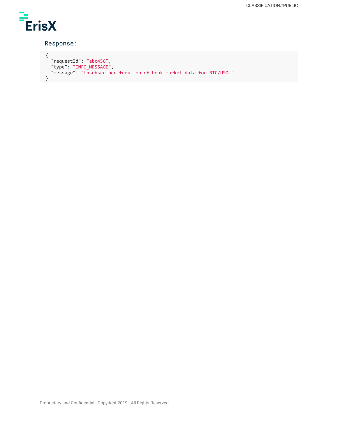

#### Response:

```
{
    "requestId": "abc456",
    "type": "INFO_MESSAGE",
    "message": "Unsubscribed from top of book market data for BTC/USD."
}
```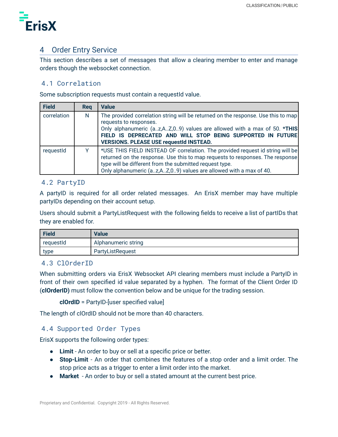

## <span id="page-27-0"></span>4 Order Entry Service

This section describes a set of messages that allow a clearing member to enter and manage orders though the websocket connection.

## <span id="page-27-1"></span>4.1 Correlation

Some subscription requests must contain a requestId value.

| <b>Field</b> | <b>Reg</b> | <b>Value</b>                                                                                                                                                                                                                                                                                            |
|--------------|------------|---------------------------------------------------------------------------------------------------------------------------------------------------------------------------------------------------------------------------------------------------------------------------------------------------------|
| correlation  | N          | The provided correlation string will be returned on the response. Use this to map<br>requests to responses.<br>Only alphanumeric (az,AZ,09) values are allowed with a max of 50. *THIS<br>FIELD IS DEPRECATED AND WILL STOP BEING SUPPORTED IN FUTURE<br><b>VERSIONS. PLEASE USE requestId INSTEAD.</b> |
| requestId    |            | *USE THIS FIELD INSTEAD OF correlation. The provided request id string will be<br>returned on the response. Use this to map requests to responses. The response<br>type will be different from the submitted request type.<br>Only alphanumeric (az,AZ,09) values are allowed with a max of 40.         |

## <span id="page-27-2"></span>4.2 PartyID

A partyID is required for all order related messages. An ErisX member may have multiple partyIDs depending on their account setup.

Users should submit a PartyListRequest with the following fields to receive a list of partIDs that they are enabled for.

| <b>Field</b> | <b>Value</b>        |
|--------------|---------------------|
| requestId    | Alphanumeric string |
| type         | PartyListRequest    |

## <span id="page-27-3"></span>4.3 ClOrderID

When submitting orders via ErisX Websocket API clearing members must include a PartyID in front of their own specified id value separated by a hyphen. The format of the Client Order ID (**clOrderID)** must follow the convention below and be unique for the trading session.

**clOrdID** = PartyID-[user specified value]

The length of clOrdID should not be more than 40 characters.

## <span id="page-27-4"></span>4.4 Supported Order Types

ErisX supports the following order types:

- **Limit** An order to buy or sell at a specific price or better.
- **Stop-Limit** An order that combines the features of a stop order and a limit order. The stop price acts as a trigger to enter a limit order into the market.
- **Market** An order to buy or sell a stated amount at the current best price.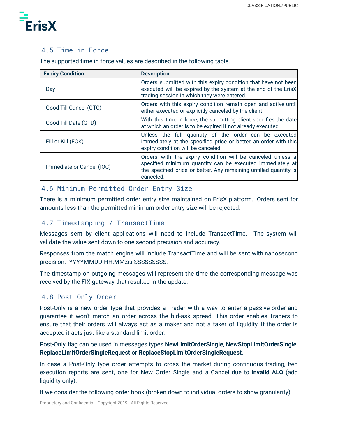

## <span id="page-28-0"></span>4.5 Time in Force

The supported time in force values are described in the following table.

| <b>Expiry Condition</b>   | <b>Description</b>                                                                                                                                                                                        |
|---------------------------|-----------------------------------------------------------------------------------------------------------------------------------------------------------------------------------------------------------|
| Day                       | Orders submitted with this expiry condition that have not been<br>executed will be expired by the system at the end of the ErisX<br>trading session in which they were entered.                           |
| Good Till Cancel (GTC)    | Orders with this expiry condition remain open and active until<br>either executed or explicitly canceled by the client.                                                                                   |
| Good Till Date (GTD)      | With this time in force, the submitting client specifies the date<br>at which an order is to be expired if not already executed.                                                                          |
| Fill or Kill (FOK)        | Unless the full quantity of the order can be executed<br>immediately at the specified price or better, an order with this<br>expiry condition will be canceled.                                           |
| Immediate or Cancel (IOC) | Orders with the expiry condition will be canceled unless a<br>specified minimum quantity can be executed immediately at<br>the specified price or better. Any remaining unfilled quantity is<br>canceled. |

## <span id="page-28-1"></span>4.6 Minimum Permitted Order Entry Size

There is a minimum permitted order entry size maintained on ErisX platform. Orders sent for amounts less than the permitted minimum order entry size will be rejected.

## <span id="page-28-2"></span>4.7 Timestamping / TransactTime

Messages sent by client applications will need to include TransactTime. The system will validate the value sent down to one second precision and accuracy.

Responses from the match engine will include TransactTime and will be sent with nanosecond precision. YYYYMMDD-HH:MM:ss.SSSSSSSSS.

The timestamp on outgoing messages will represent the time the corresponding message was received by the FIX gateway that resulted in the update.

## <span id="page-28-3"></span>4.8 Post-Only Order

Post-Only is a new order type that provides a Trader with a way to enter a passive order and guarantee it won't match an order across the bid-ask spread. This order enables Traders to ensure that their orders will always act as a maker and not a taker of liquidity. If the order is accepted it acts just like a standard limit order.

Post-Only flag can be used in messages types **NewLimitOrderSingle**, **NewStopLimitOrderSingle**, **ReplaceLimitOrderSingleRequest** or **ReplaceStopLimitOrderSingleRequest**.

In case a Post-Only type order attempts to cross the market during continuous trading, two execution reports are sent, one for New Order Single and a Cancel due to **invalid ALO** (add liquidity only).

If we consider the following order book (broken down to individual orders to show granularity).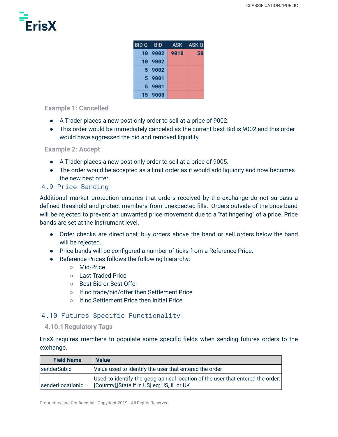

| BID Q BID |              | ASK ASK Q |
|-----------|--------------|-----------|
|           | 10 9002 9010 | 50        |
|           | 10 9002      |           |
|           | 5 9002       |           |
|           | $5 - 9001$   |           |
| 5         | 9001         |           |
|           | 15 9000      |           |

#### <span id="page-29-0"></span>**Example 1: Cancelled**

- A Trader places a new post-only order to sell at a price of 9002.
- This order would be immediately canceled as the current best Bid is 9002 and this order would have aggressed the bid and removed liquidity.

#### <span id="page-29-1"></span>**Example 2: Accept**

- A Trader places a new post only order to sell at a price of 9005.
- The order would be accepted as a limit order as it would add liquidity and now becomes the new best offer.

#### <span id="page-29-2"></span>4.9 Price Banding

Additional market protection ensures that orders received by the exchange do not surpass a defined threshold and protect members from unexpected fills. Orders outside of the price band will be rejected to prevent an unwanted price movement due to a "fat fingering" of a price. Price bands are set at the Instrument level.

- Order checks are directional; buy orders above the band or sell orders below the band will be rejected.
- Price bands will be configured a number of ticks from a Reference Price.
- Reference Prices follows the following hierarchy:
	- Mid-Price
	- Last Traded Price
	- Best Bid or Best Offer
	- If no trade/bid/offer then Settlement Price
	- If no Settlement Price then Initial Price

## <span id="page-29-3"></span>4.10 Futures Specific Functionality

#### <span id="page-29-4"></span>**4.10.1Regulatory Tags**

ErisX requires members to populate some specific fields when sending futures orders to the exchange.

| <b>Field Name</b> | <b>Value</b>                                                                                                                   |
|-------------------|--------------------------------------------------------------------------------------------------------------------------------|
| senderSubld       | Value used to identify the user that entered the order                                                                         |
| senderLocationId  | Used to identify the geographical location of the user that entered the order:<br>[Country], [State if in US] eg; US, IL or UK |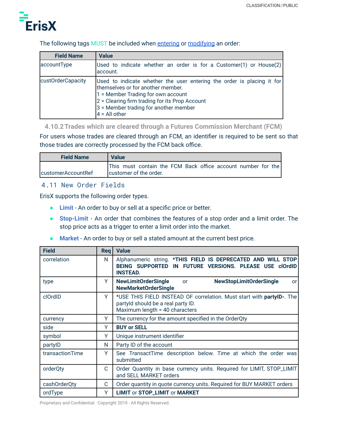

#### The following tags MUST be included when [entering](https://docs.google.com/document/d/13Bt8Yz8PZjPgLxoU5hXR7QUM9d7zJOxbc_OLXKkBqDc/edit#heading=h.7jx15b3bchu1) or [modifying](https://docs.google.com/document/d/13Bt8Yz8PZjPgLxoU5hXR7QUM9d7zJOxbc_OLXKkBqDc/edit#heading=h.jer2pdkdgrqj) an order:

| <b>Field Name</b> | <b>Value</b>                                                                                                                                                                                                                                                    |
|-------------------|-----------------------------------------------------------------------------------------------------------------------------------------------------------------------------------------------------------------------------------------------------------------|
| accountType       | Used to indicate whether an order is for a Customer(1) or House(2)<br>account.                                                                                                                                                                                  |
| custOrderCapacity | Used to indicate whether the user entering the order is placing it for<br>themselves or for another member.<br>1 = Member Trading for own account<br>2 = Clearing firm trading for its Prop Account<br>3 = Member trading for another member<br>$4 = All other$ |

<span id="page-30-0"></span>**4.10.2Trades which are cleared through a Futures Commission Merchant (FCM)**

For users whose trades are cleared through an FCM, an identifier is required to be sent so that those trades are correctly processed by the FCM back office.

| <b>Field Name</b>   | <b>Value</b>                                                 |  |
|---------------------|--------------------------------------------------------------|--|
|                     | This must contain the FCM Back office account number for the |  |
| IcustomerAccountRef | customer of the order.                                       |  |

## <span id="page-30-1"></span>4.11 New Order Fields

ErisX supports the following order types.

- **Limit** An order to buy or sell at a specific price or better.
- **Stop-Limit** An order that combines the features of a stop order and a limit order. The stop price acts as a trigger to enter a limit order into the market.
- **Market** An order to buy or sell a stated amount at the current best price.

| <b>Field</b>    | <b>Req</b> | <b>Value</b>                                                                                                                                  |
|-----------------|------------|-----------------------------------------------------------------------------------------------------------------------------------------------|
| correlation     | N          | Alphanumeric string. *THIS FIELD IS DEPRECATED AND WILL STOP<br>BEING SUPPORTED IN FUTURE VERSIONS. PLEASE USE clOrdID<br><b>INSTEAD.</b>     |
| type            | Y          | <b>NewLimitOrderSingle</b><br><b>NewStopLimitOrderSingle</b><br><b>or</b><br>or<br><b>NewMarketOrderSingle</b>                                |
| clOrdID         | Y          | *USE THIS FIELD INSTEAD OF correlation. Must start with partyID-. The<br>partyld should be a real party ID.<br>Maximum length = 40 characters |
| currency        | Y          | The currency for the amount specified in the OrderQty                                                                                         |
| side            | Y          | <b>BUY or SELL</b>                                                                                                                            |
| symbol          | Υ          | Unique instrument identifier                                                                                                                  |
| partylD         | N          | Party ID of the account                                                                                                                       |
| transactionTime | Y          | See TransactTime description below. Time at which the order was<br>submitted                                                                  |
| orderQty        | C          | Order Quantity in base currency units. Required for LIMIT, STOP_LIMIT<br>and SELL MARKET orders                                               |
| cashOrderQty    | C          | Order quantity in quote currency units. Required for BUY MARKET orders                                                                        |
| ordType         | Y          | <b>LIMIT or STOP_LIMIT or MARKET</b>                                                                                                          |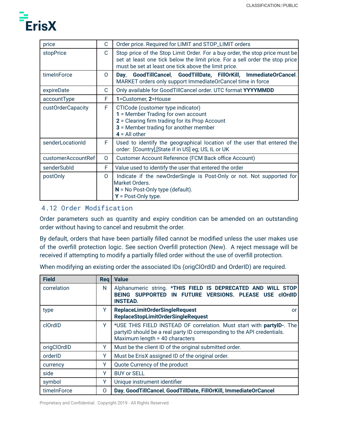

| price              | C        | Order price. Required for LIMIT and STOP_LIMIT orders                                                                                                                                                               |
|--------------------|----------|---------------------------------------------------------------------------------------------------------------------------------------------------------------------------------------------------------------------|
| stopPrice          | C        | Stop price of the Stop Limit Order. For a buy order, the stop price must be<br>set at least one tick below the limit price. For a sell order the stop price<br>must be set at least one tick above the limit price. |
| timeInForce        | $\Omega$ | GoodTillCancel, GoodTillDate, FillOrKill, ImmediateOrCancel.<br>Dav.<br>MARKET orders only support ImmediateOrCancel time in force                                                                                  |
| expireDate         | C        | Only available for GoodTillCancel order. UTC format YYYYMMDD                                                                                                                                                        |
| accountType        | F        | 1=Customer, 2=House                                                                                                                                                                                                 |
| custOrderCapacity  | F        | CTICode (customer type indicator)<br>1 = Member Trading for own account<br>2 = Clearing firm trading for its Prop Account<br>3 = Member trading for another member<br>$4 =$ All other                               |
| senderLocationId   | F.       | Used to identify the geographical location of the user that entered the<br>order: [Country], [State if in US] eg; US, IL or UK                                                                                      |
| customerAccountRef | 0        | Customer Account Reference (FCM Back office Account)                                                                                                                                                                |
| senderSubId        | F        | Value used to identify the user that entered the order                                                                                                                                                              |
| postOnly           | $\Omega$ | Indicate if the new Order Single is Post-Only or not. Not supported for<br>Market Orders.<br>$N = No$ Post-Only type (default).<br>$Y = Post-Only type.$                                                            |

## <span id="page-31-0"></span>4.12 Order Modification

Order parameters such as quantity and expiry condition can be amended on an outstanding order without having to cancel and resubmit the order.

By default, orders that have been partially filled cannot be modified unless the user makes use of the overfill protection logic. See section Overfill protection (New). A reject message will be received if attempting to modify a partially filled order without the use of overfill protection.

When modifying an existing order the associated IDs (origClOrdID and OrderID) are required.

| <b>Field</b> | <b>Reg</b> | <b>Value</b>                                                                                                                                                                       |
|--------------|------------|------------------------------------------------------------------------------------------------------------------------------------------------------------------------------------|
| correlation  | N          | Alphanumeric string. *THIS FIELD IS DEPRECATED AND WILL STOP<br>BEING SUPPORTED IN FUTURE VERSIONS. PLEASE USE clOrdID<br><b>INSTEAD.</b>                                          |
| type         | Y          | <b>ReplaceLimitOrderSingleRequest</b><br>or<br><b>ReplaceStopLimitOrderSingleRequest</b>                                                                                           |
| clOrdID      | Y          | *USE THIS FIELD INSTEAD OF correlation. Must start with partyID-. The<br>partyID should be a real party ID corresponding to the API credentials.<br>Maximum length = 40 characters |
| origClOrdID  | Y          | Must be the client ID of the original submitted order.                                                                                                                             |
| orderID      | Y          | Must be ErisX assigned ID of the original order.                                                                                                                                   |
| currency     | Υ          | Quote Currency of the product                                                                                                                                                      |
| side         | Y          | <b>BUY or SELL</b>                                                                                                                                                                 |
| symbol       | Y          | Unique instrument identifier                                                                                                                                                       |
| timeInForce  | 0          | Day, GoodTillCancel, GoodTillDate, FillOrKill, ImmediateOrCancel                                                                                                                   |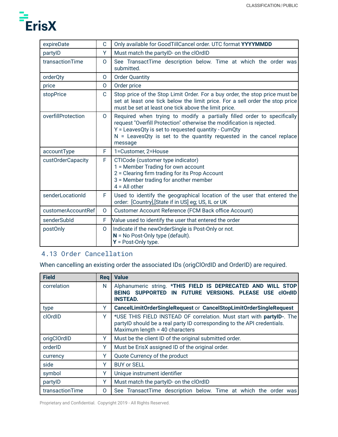

| expireDate         | C            | Only available for GoodTillCancel order. UTC format YYYYMMDD                                                                                                                                                                                                                                 |
|--------------------|--------------|----------------------------------------------------------------------------------------------------------------------------------------------------------------------------------------------------------------------------------------------------------------------------------------------|
| partylD            | Y            | Must match the partylD- on the clOrdID                                                                                                                                                                                                                                                       |
| transactionTime    | 0            | See TransactTime description below. Time at which the order was<br>submitted.                                                                                                                                                                                                                |
| orderQty           | O            | <b>Order Quantity</b>                                                                                                                                                                                                                                                                        |
| price              | 0            | Order price                                                                                                                                                                                                                                                                                  |
| stopPrice          | C            | Stop price of the Stop Limit Order. For a buy order, the stop price must be<br>set at least one tick below the limit price. For a sell order the stop price<br>must be set at least one tick above the limit price.                                                                          |
| overfillProtection | $\circ$      | Required when trying to modify a partially filled order to specifically<br>request "Overfill Protection" otherwise the modification is rejected.<br>Y = LeavesQty is set to requested quantity - CumQty<br>$N =$ LeavesQty is set to the quantity requested in the cancel replace<br>message |
| accountType        | F            | 1=Customer, 2=House                                                                                                                                                                                                                                                                          |
| custOrderCapacity  | F.           | CTICode (customer type indicator)<br>1 = Member Trading for own account<br>2 = Clearing firm trading for its Prop Account<br>3 = Member trading for another member<br>$4 = All other$                                                                                                        |
| senderLocationId   | F            | Used to identify the geographical location of the user that entered the<br>order: [Country], [State if in US] eg; US, IL or UK                                                                                                                                                               |
| customerAccountRef | $\mathsf{O}$ | Customer Account Reference (FCM Back office Account)                                                                                                                                                                                                                                         |
| senderSubId        | F            | Value used to identify the user that entered the order                                                                                                                                                                                                                                       |
| postOnly           | $\Omega$     | Indicate if the new Order Single is Post-Only or not.<br>$N = No$ Post-Only type (default).<br>$Y = Post-Only type.$                                                                                                                                                                         |

## <span id="page-32-0"></span>4.13 Order Cancellation

When cancelling an existing order the associated IDs (origClOrdID and OrderID) are required.

| <b>Field</b>    | <b>Rea</b> | <b>Value</b>                                                                                                                                                                       |
|-----------------|------------|------------------------------------------------------------------------------------------------------------------------------------------------------------------------------------|
| correlation     | N          | Alphanumeric string. *THIS FIELD IS DEPRECATED AND WILL STOP<br>BEING SUPPORTED IN FUTURE VERSIONS. PLEASE USE clOrdID<br><b>INSTEAD.</b>                                          |
| type            | Y          | CancelLimitOrderSingleRequest or CancelStopLimitOrderSingleRequest                                                                                                                 |
| clOrdID         | Y          | *USE THIS FIELD INSTEAD OF correlation. Must start with partyID-. The<br>partylD should be a real party ID corresponding to the API credentials.<br>Maximum length = 40 characters |
| origClOrdID     | Y          | Must be the client ID of the original submitted order.                                                                                                                             |
| orderID         | Y          | Must be ErisX assigned ID of the original order.                                                                                                                                   |
| currency        | Y          | Quote Currency of the product                                                                                                                                                      |
| side            | Y          | <b>BUY or SELL</b>                                                                                                                                                                 |
| symbol          | Υ          | Unique instrument identifier                                                                                                                                                       |
| partylD         | Y          | Must match the partylD- on the clOrdID                                                                                                                                             |
| transactionTime | 0          | See TransactTime description below. Time at which the order was                                                                                                                    |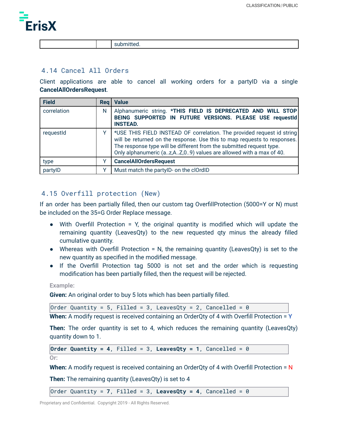

submitted.

#### <span id="page-33-0"></span>4.14 Cancel All Orders

Client applications are able to cancel all working orders for a partyID via a single **CancelAllOrdersRequest**.

| <b>Field</b> | Reg | <b>Value</b>                                                                                                                                                                                                                                                                                    |
|--------------|-----|-------------------------------------------------------------------------------------------------------------------------------------------------------------------------------------------------------------------------------------------------------------------------------------------------|
| correlation  | N   | Alphanumeric string. * THIS FIELD IS DEPRECATED AND WILL STOP<br>BEING SUPPORTED IN FUTURE VERSIONS. PLEASE USE requestId<br><b>INSTEAD.</b>                                                                                                                                                    |
| requestId    |     | *USE THIS FIELD INSTEAD OF correlation. The provided request id string<br>will be returned on the response. Use this to map requests to responses.<br>The response type will be different from the submitted request type.<br>Only alphanumeric (az,AZ,09) values are allowed with a max of 40. |
| type         |     | <b>CancelAllOrdersRequest</b>                                                                                                                                                                                                                                                                   |
| partylD      |     | Must match the partylD- on the clOrdID                                                                                                                                                                                                                                                          |

## <span id="page-33-1"></span>4.15 Overfill protection (New)

If an order has been partially filled, then our custom tag OverfillProtection (5000=Y or N) must be included on the 35=G Order Replace message.

- With Overfill Protection = Y, the original quantity is modified which will update the remaining quantity (LeavesQty) to the new requested qty minus the already filled cumulative quantity.
- Whereas with Overfill Protection = N, the remaining quantity (LeavesQty) is set to the new quantity as specified in the modified message.
- If the Overfill Protection tag 5000 is not set and the order which is requesting modification has been partially filled, then the request will be rejected.

**Example:**

**Given:** An original order to buy 5 lots which has been partially filled.

Order Quantity = 5, Filled = 3, LeavesQty = 2, Cancelled = 0

**When:** A modify request is received containing an OrderQty of 4 with Overfill Protection = **Y**

**Then:** The order quantity is set to 4, which reduces the remaining quantity (LeavesQty) quantity down to 1.

**Order Quantity** = 4, Filled = 3, LeavesQty = 1, Cancelled = 0

**Or:**

**When:** A modify request is received containing an OrderQty of 4 with Overfill Protection = N

**Then:** The remaining quantity (LeavesQty) is set to 4

 $\vert$ Order Quantity = 7, Filled = 3, LeavesQty = 4, Cancelled = 0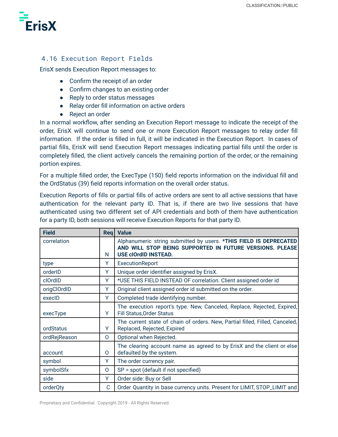

## <span id="page-34-0"></span>4.16 Execution Report Fields

ErisX sends Execution Report messages to:

- Confirm the receipt of an order
- Confirm changes to an existing order
- Reply to order status messages
- Relay order fill information on active orders
- Reject an order

In a normal workflow, after sending an Execution Report message to indicate the receipt of the order, ErisX will continue to send one or more Execution Report messages to relay order fill information. If the order is filled in full, it will be indicated in the Execution Report. In cases of partial fills, ErisX will send Execution Report messages indicating partial fills until the order is completely filled, the client actively cancels the remaining portion of the order, or the remaining portion expires.

For a multiple filled order, the ExecType (150) field reports information on the individual fill and the OrdStatus (39) field reports information on the overall order status.

Execution Reports of fills or partial fills of active orders are sent to all active sessions that have authentication for the relevant party ID. That is, if there are two live sessions that have authenticated using two different set of API credentials and both of them have authentication for a party ID, both sessions will receive Execution Reports for that party ID.

| <b>Field</b> |          | Reg   Value                                                                                                                   |
|--------------|----------|-------------------------------------------------------------------------------------------------------------------------------|
| correlation  |          | Alphanumeric string submitted by users. *THIS FIELD IS DEPRECATED<br>AND WILL STOP BEING SUPPORTED IN FUTURE VERSIONS. PLEASE |
|              | N        | <b>USE clOrdID INSTEAD.</b>                                                                                                   |
| type         | Y        | ExecutionReport                                                                                                               |
| orderID      | Y        | Unique order identifier assigned by ErisX.                                                                                    |
| clOrdID      | Y        | *USE THIS FIELD INSTEAD OF correlation. Client assigned order id                                                              |
| origClOrdID  | Y        | Original client assigned order id submitted on the order.                                                                     |
| execID       | Y        | Completed trade identifying number.                                                                                           |
| execType     | Υ        | The execution report's type. New, Canceled, Replace, Rejected, Expired,<br>Fill Status, Order Status                          |
| ordStatus    | Y        | The current state of chain of orders. New, Partial filled, Filled, Canceled,<br>Replaced, Rejected, Expired                   |
| ordRejReason | $\Omega$ | Optional when Rejected.                                                                                                       |
| account      | 0        | The clearing account name as agreed to by ErisX and the client or else<br>defaulted by the system.                            |
| symbol       | Y        | The order currency pair.                                                                                                      |
| symbolSfx    | 0        | SP = spot (default if not specified)                                                                                          |
| side         | Y        | Order side: Buy or Sell                                                                                                       |
| orderQty     | C        | Order Quantity in base currency units. Present for LIMIT, STOP_LIMIT and                                                      |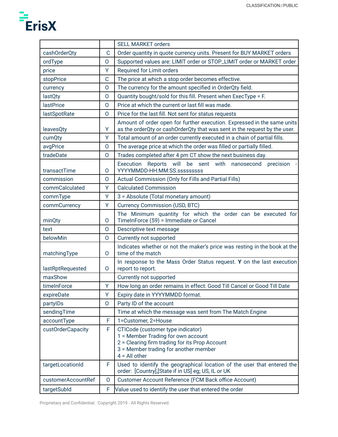

|                    |          | <b>SELL MARKET orders</b>                                                                                                                                                             |  |
|--------------------|----------|---------------------------------------------------------------------------------------------------------------------------------------------------------------------------------------|--|
| cashOrderQty       | С        | Order quantity in quote currency units. Present for BUY MARKET orders                                                                                                                 |  |
| ordType            | $\circ$  | Supported values are: LIMIT order or STOP_LIMIT order or MARKET order                                                                                                                 |  |
| price              | Y        | Required for Limit orders                                                                                                                                                             |  |
| stopPrice          | C        | The price at which a stop order becomes effective.                                                                                                                                    |  |
| currency           | $\Omega$ | The currency for the amount specified in OrderQty field.                                                                                                                              |  |
| lastQty            | $\Omega$ | Quantity bought/sold for this fill. Present when ExecType = F.                                                                                                                        |  |
| <b>lastPrice</b>   | $\Omega$ | Price at which the current or last fill was made.                                                                                                                                     |  |
| lastSpotRate       | $\Omega$ | Price for the last fill. Not sent for status requests                                                                                                                                 |  |
| leavesQty          | Y        | Amount of order open for further execution. Expressed in the same units<br>as the orderQty or cashOrderQty that was sent in the request by the user.                                  |  |
| cumQty             | Y        | Total amount of an order currently executed in a chain of partial fills.                                                                                                              |  |
| avgPrice           | $\Omega$ | The average price at which the order was filled or partially filled.                                                                                                                  |  |
| tradeDate          | $\Omega$ | Trades completed after 4 pm CT show the next business day.                                                                                                                            |  |
| transactTime       | 0        | Execution Reports will be sent with nanosecond<br>precision<br>YYYYMMDD-HH:MM:SS.sssssssss                                                                                            |  |
| commission         | $\Omega$ | Actual Commission (Only for Fills and Partial Fills)                                                                                                                                  |  |
| commCalculated     | Y        | <b>Calculated Commission</b>                                                                                                                                                          |  |
| commType           | Y        | 3 = Absolute (Total monetary amount)                                                                                                                                                  |  |
| commCurrency       | Y        | <b>Currency Commission (USD, BTC)</b>                                                                                                                                                 |  |
| minQty             | 0        | The Minimum quantity for which the order can be executed for<br>TimeInForce (59) = Immediate or Cancel                                                                                |  |
| text               | $\Omega$ | Descriptive text message                                                                                                                                                              |  |
| belowMin           | O        | Currently not supported                                                                                                                                                               |  |
| matchingType       | 0        | Indicates whether or not the maker's price was resting in the book at the<br>time of the match                                                                                        |  |
| lastRptRequested   | 0        | In response to the Mass Order Status request. Y on the last execution<br>report to report.                                                                                            |  |
| maxShow            |          | Currently not supported                                                                                                                                                               |  |
| timeInForce        | Y.       | How long an order remains in effect: Good Till Cancel or Good Till Date                                                                                                               |  |
| expireDate         | Υ        | Expiry date in YYYYMMDD format.                                                                                                                                                       |  |
| partylDs           | $\Omega$ | Party ID of the account                                                                                                                                                               |  |
| sendingTime        |          | Time at which the message was sent from The Match Engine                                                                                                                              |  |
| accountType        | F        | 1=Customer, 2=House                                                                                                                                                                   |  |
| custOrderCapacity  | F        | CTICode (customer type indicator)<br>1 = Member Trading for own account<br>2 = Clearing firm trading for its Prop Account<br>3 = Member trading for another member<br>$4 = All other$ |  |
| targetLocationId   | F        | Used to identify the geographical location of the user that entered the<br>order: [Country], [State if in US] eg; US, IL or UK                                                        |  |
| customerAccountRef | O        | Customer Account Reference (FCM Back office Account)                                                                                                                                  |  |
| targetSubld        | F        | Value used to identify the user that entered the order                                                                                                                                |  |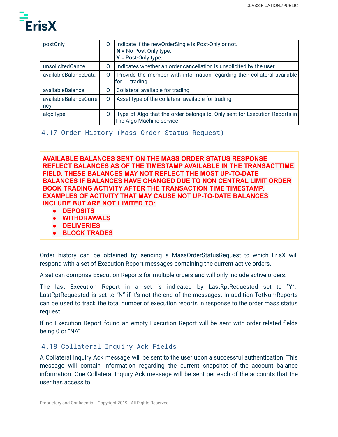

| postOnly                     | O | Indicate if the new Order Single is Post-Only or not.<br>$N = No$ Post-Only type.<br>$Y = Post-Only type.$ |
|------------------------------|---|------------------------------------------------------------------------------------------------------------|
| unsolicitedCancel            | Ő | Indicates whether an order cancellation is unsolicited by the user                                         |
| availableBalanceData         | 0 | Provide the member with information regarding their collateral available<br>trading<br>for                 |
| availableBalance             | 0 | Collateral available for trading                                                                           |
| availableBalanceCurre<br>ncy | 0 | Asset type of the collateral available for trading                                                         |
| algoType                     | O | Type of Algo that the order belongs to. Only sent for Execution Reports in<br>The Algo Machine service     |

<span id="page-36-0"></span>4.17 Order History (Mass Order Status Request)

**AVAILABLE BALANCES SENT ON THE MASS ORDER STATUS RESPONSE REFLECT BALANCES AS OF THE TIMESTAMP AVAILABLE IN THE TRANSACTTIME FIELD. THESE BALANCES MAY NOT REFLECT THE MOST UP-TO-DATE BALANCES IF BALANCES HAVE CHANGED DUE TO NON CENTRAL LIMIT ORDER BOOK TRADING ACTIVITY AFTER THE TRANSACTION TIME TIMESTAMP. EXAMPLES OF ACTIVITY THAT MAY CAUSE NOT UP-TO-DATE BALANCES INCLUDE BUT ARE NOT LIMITED TO:**

- **● DEPOSITS**
- **● WITHDRAWALS**
- **● DELIVERIES**
- **● BLOCK TRADES**

Order history can be obtained by sending a MassOrderStatusRequest to which ErisX will respond with a set of Execution Report messages containing the current active orders.

A set can comprise Execution Reports for multiple orders and will only include active orders.

The last Execution Report in a set is indicated by LastRptRequested set to "Y". LastRptRequested is set to "N" if it's not the end of the messages. In addition TotNumReports can be used to track the total number of execution reports in response to the order mass status request.

If no Execution Report found an empty Execution Report will be sent with order related fields being 0 or "NA".

## <span id="page-36-1"></span>4.18 Collateral Inquiry Ack Fields

A Collateral Inquiry Ack message will be sent to the user upon a successful authentication. This message will contain information regarding the current snapshot of the account balance information. One Collateral Inquiry Ack message will be sent per each of the accounts that the user has access to.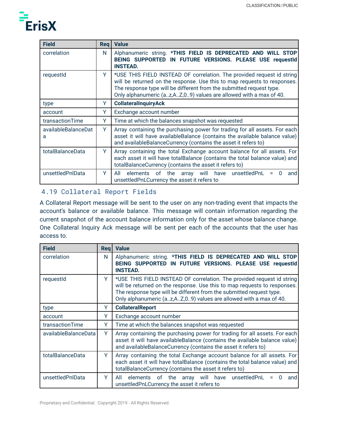

| <b>Field</b>             | <b>Reg</b> | <b>Value</b>                                                                                                                                                                                                                                                                                    |
|--------------------------|------------|-------------------------------------------------------------------------------------------------------------------------------------------------------------------------------------------------------------------------------------------------------------------------------------------------|
| correlation              | N          | Alphanumeric string. *THIS FIELD IS DEPRECATED AND WILL STOP<br>BEING SUPPORTED IN FUTURE VERSIONS. PLEASE USE requestId<br><b>INSTEAD.</b>                                                                                                                                                     |
| requestId                | Y.         | *USE THIS FIELD INSTEAD OF correlation. The provided request id string<br>will be returned on the response. Use this to map requests to responses.<br>The response type will be different from the submitted request type.<br>Only alphanumeric (az,AZ,09) values are allowed with a max of 40. |
| type                     | Y          | <b>CollateralInquiryAck</b>                                                                                                                                                                                                                                                                     |
| account                  | Y          | Exchange account number                                                                                                                                                                                                                                                                         |
| transactionTime          | Y          | Time at which the balances snapshot was requested                                                                                                                                                                                                                                               |
| availableBalanceDat<br>a | Y          | Array containing the purchasing power for trading for all assets. For each<br>asset it will have availableBalance (contains the available balance value)<br>and availableBalanceCurrency (contains the asset it refers to)                                                                      |
| totalBalanceData         | Y          | Array containing the total Exchange account balance for all assets. For<br>each asset it will have totalBalance (contains the total balance value) and<br>totalBalanceCurrency (contains the asset it refers to)                                                                                |
| unsettledPnlData         | Y          | elements of the array will have unsettledPnL<br>$\Omega$<br>All<br>and<br>$=$<br>unsettledPnLCurrency the asset it refers to                                                                                                                                                                    |

## <span id="page-37-0"></span>4.19 Collateral Report Fields

A Collateral Report message will be sent to the user on any non-trading event that impacts the account's balance or available balance. This message will contain information regarding the current snapshot of the account balance information only for the asset whose balance change. One Collateral Inquiry Ack message will be sent per each of the accounts that the user has access to.

| <b>Field</b>         | Rea | <b>Value</b>                                                                                                                                                                                                                                                                                    |
|----------------------|-----|-------------------------------------------------------------------------------------------------------------------------------------------------------------------------------------------------------------------------------------------------------------------------------------------------|
| correlation          | N   | Alphanumeric string. *THIS FIELD IS DEPRECATED AND WILL STOP<br>BEING SUPPORTED IN FUTURE VERSIONS. PLEASE USE requestId<br><b>INSTEAD.</b>                                                                                                                                                     |
| requestid            | Y.  | *USE THIS FIELD INSTEAD OF correlation. The provided request id string<br>will be returned on the response. Use this to map requests to responses.<br>The response type will be different from the submitted request type.<br>Only alphanumeric (az,AZ,O9) values are allowed with a max of 40. |
| type                 | Y   | <b>CollateralReport</b>                                                                                                                                                                                                                                                                         |
| account              | Y   | Exchange account number                                                                                                                                                                                                                                                                         |
| transactionTime      | Y   | Time at which the balances snapshot was requested                                                                                                                                                                                                                                               |
| availableBalanceData | Y   | Array containing the purchasing power for trading for all assets. For each<br>asset it will have availableBalance (contains the available balance value)<br>and availableBalanceCurrency (contains the asset it refers to)                                                                      |
| totalBalanceData     | Y   | Array containing the total Exchange account balance for all assets. For<br>each asset it will have totalBalance (contains the total balance value) and<br>totalBalanceCurrency (contains the asset it refers to)                                                                                |
| unsettledPnlData     | Y   | elements of the array will have unsettledPnL<br>All<br>0<br>Ξ<br>and<br>unsettledPnLCurrency the asset it refers to                                                                                                                                                                             |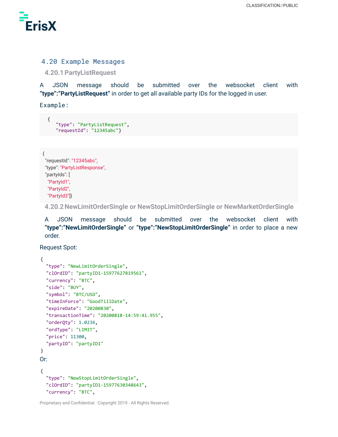

#### <span id="page-38-0"></span>4.20 Example Messages

<span id="page-38-1"></span>**4.20.1PartyListRequest**

A JSON message should be submitted over the websocket client with **"type":"PartyListRequest"** in order to get all available party IDs for the logged in user.

Example:

```
{
   "type": "PartyListRequest",
   "requestId": "12345abc"}
```

```
{
"requestId": "12345abc",
"type": "PartyListResponse",
 "partyIds": [
 "PartyId1",
 "PartyId2",
 "PartyId3"]}
```
<span id="page-38-2"></span>**4.20.2NewLimitOrderSingle or NewStopLimitOrderSingle or NewMarketOrderSingle**

A JSON message should be submitted over the websocket client with **"type":"NewLimitOrderSingle"** or **"type":"NewStopLimitOrderSingle"** in order to place a new order.

Request Spot:

```
{
  "type": "NewLimitOrderSingle",
  "clOrdID": "partyID1-15977627819561",
  "currency": "BTC",
  "side": "BUY",
  "symbol": "BTC/USD",
  "timeInForce": "GoodTillDate",
  "expireDate": "20200830",
  "transactionTime": "20200818-14:59:41.955",
  "orderQty": 1.0236,
  "ordType": "LIMIT",
  "price": 11300,
  "partyID": "partyID1"
}
Or:
{
  "type": "NewStopLimitOrderSingle",
  "clOrdID": "partyID1-15977630348643",
  "currency": "BTC",
```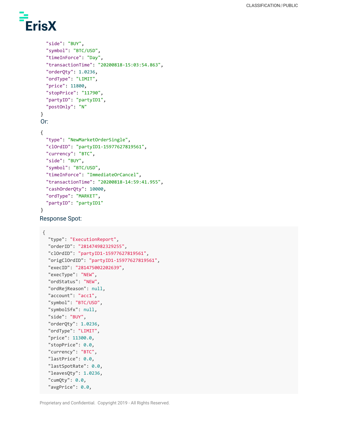

```
"side": "BUY",
  "symbol": "BTC/USD",
  "timeInForce": "Day",
  "transactionTime": "20200818-15:03:54.863",
  "orderQty": 1.0236,
  "ordType": "LIMIT",
  "price": 11800,
  "stopPrice": "11790",
  "partyID": "partyID1",
  "postOnly": "N"
}
Or:
{
  "type": "NewMarketOrderSingle",
  "clOrdID": "partyID1-15977627819561",
  "currency": "BTC",
  "side": "BUY",
  "symbol": "BTC/USD",
  "timeInForce": "ImmediateOrCancel",
  "transactionTime": "20200818-14:59:41.955",
  "cashOrderQty": 10000,
  "ordType": "MARKET",
  "partyID": "partyID1"
}
```
Response Spot:

```
{
  "type": "ExecutionReport",
  "orderID": "281474982329255",
  "clOrdID": "partyID1-15977627819561",
  "origClOrdID": "partyID1-15977627819561",
  "execID": "281475002202639",
  "execType": "NEW",
  "ordStatus": "NEW",
  "ordRejReason": null,
  "account": "acc1",
  "symbol": "BTC/USD",
  "symbolSfx": null,
  "side": "BUY",
  "orderQty": 1.0236,
  "ordType": "LIMIT",
  "price": 11300.0,
  "stopPrice": 0.0,
  "currency": "BTC",
  "lastPrice": 0.0,
  "lastSpotRate": 0.0,
  "leavesQty": 1.0236,
  "cumQty": 0.0,
  "avgPrice": 0.0,
```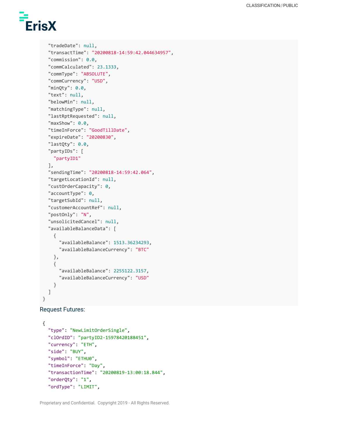

```
"tradeDate": null,
  "transactTime": "20200818-14:59:42.044634957",
  "commission": 0.0,
  "commCalculated": 23.1333,
  "commType": "ABSOLUTE",
  "commCurrency": "USD",
  "minQty": 0.0,
  "text": null,
  "belowMin": null,
  "matchingType": null,
  "lastRptRequested": null,
  "maxShow": 0.0,
  "timeInForce": "GoodTillDate",
  "expireDate": "20200830",
  "lastQty": 0.0,
  "partyIDs": [
    "partyID1"
  ],
  "sendingTime": "20200818-14:59:42.064",
  "targetLocationId": null,
  "custOrderCapacity": 0,
  "accountType": 0,
  "targetSubId": null,
  "customerAccountRef": null,
  "postOnly": "N",
  "unsolicitedCancel": null,
  "availableBalanceData": [
    {
      "availableBalance": 1513.36234293,
      "availableBalanceCurrency": "BTC"
    },
    {
      "availableBalance": 2255122.3157,
      "availableBalanceCurrency": "USD"
    }
  ]
}
```

```
Request Futures:
```

```
{
  "type": "NewLimitOrderSingle",
  "clOrdID": "partyID2-15978420188451",
  "currency": "ETH",
  "side": "BUY",
  "symbol": "ETHU0",
  "timeInForce": "Day",
  "transactionTime": "20200819-13:00:18.844",
  "orderQty": "1",
  "ordType": "LIMIT",
```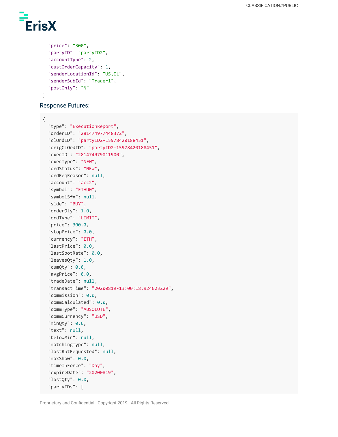

}

```
"price": "300",
"partyID": "partyID2",
"accountType": 2,
"custOrderCapacity": 1,
"senderLocationId": "US,IL",
"senderSubId": "Trader1",
"postOnly": "N"
```
Response Futures:

```
{
  "type": "ExecutionReport",
  "orderID": "281474977448372",
  "clOrdID": "partyID2-15978420188451",
  "origClOrdID": "partyID2-15978420188451",
  "execID": "281474979011900",
  "execType": "NEW",
  "ordStatus": "NEW",
  "ordRejReason": null,
  "account": "acc2",
  "symbol": "ETHU0",
  "symbolSfx": null,
  "side": "BUY",
  "orderQty": 1.0,
  "ordType": "LIMIT",
  "price": 300.0,
  "stopPrice": 0.0,
  "currency": "ETH",
  "lastPrice": 0.0,
  "lastSpotRate": 0.0,
  "leavesQty": 1.0,
  "cumQty": 0.0,
  "avgPrice": 0.0,
  "tradeDate": null,
  "transactTime": "20200819-13:00:18.924623229",
  "commission": 0.0,
  "commCalculated": 0.0,
  "commType": "ABSOLUTE",
  "commCurrency": "USD",
  "minQty": 0.0,
  "text": null,
  "belowMin": null,
  "matchingType": null,
  "lastRptRequested": null,
  "maxShow": 0.0,
  "timeInForce": "Day",
  "expireDate": "20200819",
  "lastQty": 0.0,
  "partyIDs": [
```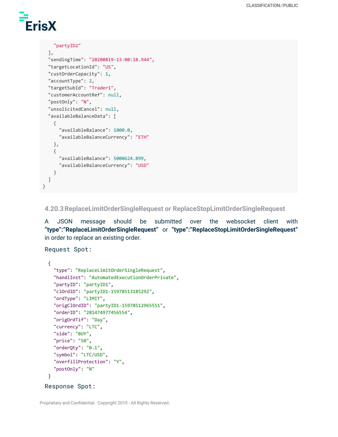# **ErisX**

```
"partyID2"
```

```
],
"sendingTime": "20200819-13:00:18.944",
"targetLocationId": "US",
"custOrderCapacity": 1,
"accountType": 2,
"targetSubId": "Trader1",
"customerAccountRef": null,
"postOnly": "N",
"unsolicitedCancel": null,
"availableBalanceData": [
  {
    "availableBalance": 1000.0,
    "availableBalanceCurrency": "ETH"
  },
  {
    "availableBalance": 5000624.899,
    "availableBalanceCurrency": "USD"
  }
]
```
<span id="page-42-0"></span>**4.20.3ReplaceLimitOrderSingleRequest or ReplaceStopLimitOrderSingleRequest**

A JSON message should be submitted over the websocket client with **"type":"ReplaceLimitOrderSingleRequest"** or **"type":"ReplaceStopLimitOrderSingleRequest"** in order to replace an existing order.

Request Spot:

}

```
{
   "type": "ReplaceLimitOrderSingleRequest",
   "handlInst": "AutomatedExecutionOrderPrivate",
   "partyID": "partyID1",
   "clOrdID": "partyID1-15978513185292",
   "ordType": "LIMIT",
   "origClOrdID": "partyID1-15978512965551",
   "orderID": "281474977456554",
   "origOrdTif": "Day",
   "currency": "LTC",
   "side": "BUY",
   "price": "50",
   "orderQty": "0.1",
   "symbol": "LTC/USD",
   "overfillProtection": "Y",
   "postOnly": "N"
 }
Response Spot:
```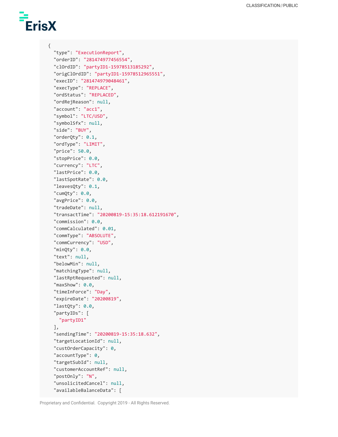# ErisX

{

```
"type": "ExecutionReport",
"orderID": "281474977456554",
"clOrdID": "partyID1-15978513185292",
"origClOrdID": "partyID1-15978512965551",
"execID": "281474979048461",
"execType": "REPLACE",
"ordStatus": "REPLACED",
"ordRejReason": null,
"account": "acc1",
"symbol": "LTC/USD",
"symbolSfx": null,
"side": "BUY",
"orderQty": 0.1,
"ordType": "LIMIT",
"price": 50.0,
"stopPrice": 0.0,
"currency": "LTC",
"lastPrice": 0.0,
"lastSpotRate": 0.0,
"leavesQty": 0.1,
"cumQty": 0.0,
"avgPrice": 0.0,
"tradeDate": null,
"transactTime": "20200819-15:35:18.612191670",
"commission": 0.0,
"commCalculated": 0.01,
"commType": "ABSOLUTE",
"commCurrency": "USD",
"minQty": 0.0,
"text": null,
"belowMin": null,
"matchingType": null,
"lastRptRequested": null,
"maxShow": 0.0,
"timeInForce": "Day",
"expireDate": "20200819",
"lastQty": 0.0,
"partyIDs": [
 "partyID1"
],
"sendingTime": "20200819-15:35:18.632",
"targetLocationId": null,
"custOrderCapacity": 0,
"accountType": 0,
"targetSubId": null,
"customerAccountRef": null,
"postOnly": "N",
"unsolicitedCancel": null,
"availableBalanceData": [
```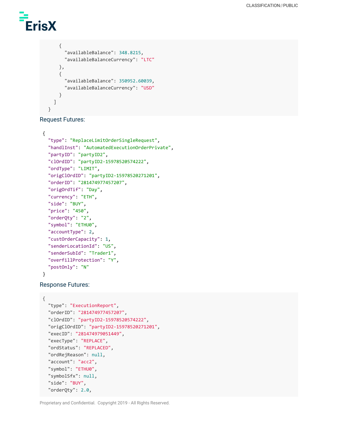

```
{
      "availableBalance": 348.8215,
      "availableBalanceCurrency": "LTC"
    },
    {
      "availableBalance": 350952.60039,
      "availableBalanceCurrency": "USD"
    }
  ]
}
```
Request Futures:

```
{
 "type": "ReplaceLimitOrderSingleRequest",
  "handlInst": "AutomatedExecutionOrderPrivate",
 "partyID": "partyID2",
 "clOrdID": "partyID2-15978520574222",
  "ordType": "LIMIT",
 "origClOrdID": "partyID2-15978520271201",
  "orderID": "281474977457207",
  "origOrdTif": "Day",
  "currency": "ETH",
 "side": "BUY",
 "price": "450",
 "orderQty": "2",
 "symbol": "ETHU0",
 "accountType": 2,
 "custOrderCapacity": 1,
 "senderLocationId": "US",
  "senderSubId": "Trader1",
 "overfillProtection": "Y",
  "postOnly": "N"
```
#### }

Response Futures:

```
{
  "type": "ExecutionReport",
  "orderID": "281474977457207",
  "clOrdID": "partyID2-15978520574222",
  "origClOrdID": "partyID2-15978520271201",
  "execID": "281474979051449",
  "execType": "REPLACE",
  "ordStatus": "REPLACED",
  "ordRejReason": null,
  "account": "acc2",
  "symbol": "ETHU0",
  "symbolSfx": null,
  "side": "BUY",
  "orderQty": 2.0,
```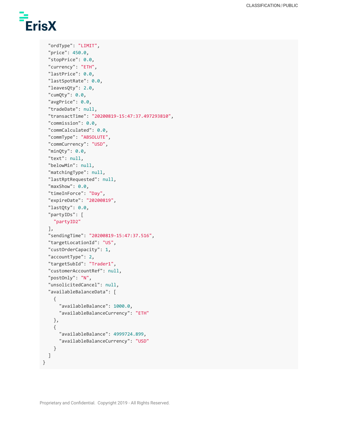

```
"ordType": "LIMIT",
"price": 450.0,
"stopPrice": 0.0,
"currency": "ETH",
"lastPrice": 0.0,
"lastSpotRate": 0.0,
"leavesQty": 2.0,
"cumQty": 0.0,
"avgPrice": 0.0,
"tradeDate": null,
"transactTime": "20200819-15:47:37.497293810",
"commission": 0.0,
"commCalculated": 0.0,
"commType": "ABSOLUTE",
"commCurrency": "USD",
"minQty": 0.0,
"text": null,
"belowMin": null,
"matchingType": null,
"lastRptRequested": null,
"maxShow": 0.0,
"timeInForce": "Day",
"expireDate": "20200819",
"lastQty": 0.0,
"partyIDs": [
  "partyID2"
],
"sendingTime": "20200819-15:47:37.516",
"targetLocationId": "US",
"custOrderCapacity": 1,
"accountType": 2,
"targetSubId": "Trader1",
"customerAccountRef": null,
"postOnly": "N",
"unsolicitedCancel": null,
"availableBalanceData": [
  {
    "availableBalance": 1000.0,
    "availableBalanceCurrency": "ETH"
  },
  {
    "availableBalance": 4999724.899,
    "availableBalanceCurrency": "USD"
  }
]
```
}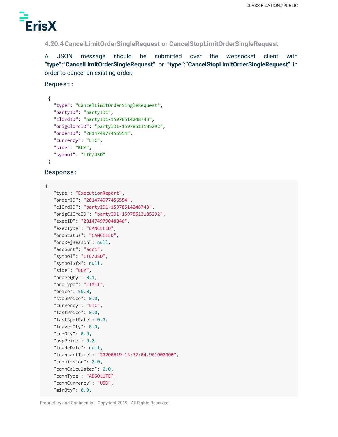

<span id="page-46-0"></span>**4.20.4CancelLimitOrderSingleRequest or CancelStopLimitOrderSingleRequest**

A JSON message should be submitted over the websocket client with **"type":"CancelLimitOrderSingleRequest"** or **"type":"CancelStopLimitOrderSingleRequest"** in order to cancel an existing order.

Request:

```
{
  "type": "CancelLimitOrderSingleRequest",
  "partyID": "partyID1",
  "clOrdID": "partyID1-15978514248743",
  "origClOrdID": "partyID1-15978513185292",
  "orderID": "281474977456554",
  "currency": "LTC",
  "side": "BUY",
  "symbol": "LTC/USD"
}
```
Response:

{

```
"type": "ExecutionReport",
"orderID": "281474977456554",
"clOrdID": "partyID1-15978514248743",
"origClOrdID": "partyID1-15978513185292",
"execID": "281474979048846",
"execType": "CANCELED",
"ordStatus": "CANCELED",
"ordRejReason": null,
"account": "acc1",
"symbol": "LTC/USD",
"symbolSfx": null,
"side": "BUY",
"orderQty": 0.1,
"ordType": "LIMIT",
"price": 50.0,
"stopPrice": 0.0,
"currency": "LTC",
"lastPrice": 0.0,
"lastSpotRate": 0.0,
"leavesQty": 0.0,
"cumQty": 0.0,
"avgPrice": 0.0,
"tradeDate": null,
"transactTime": "20200819-15:37:04.961000000",
"commission": 0.0,
"commCalculated": 0.0,
"commType": "ABSOLUTE",
"commCurrency": "USD",
"minQty": 0.0,
```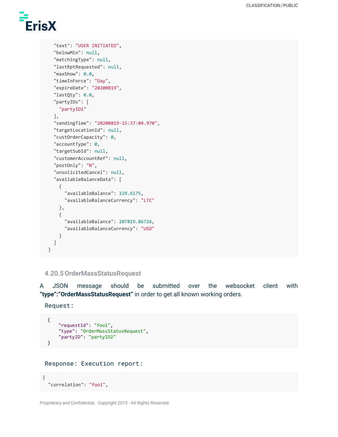

```
"text": "USER INITIATED",
  "belowMin": null,
  "matchingType": null,
  "lastRptRequested": null,
  "maxShow": 0.0,
  "timeInForce": "Day",
  "expireDate": "20200819",
  "lastQty": 0.0,
  "partyIDs": [
    "partyID1"
  ],
  "sendingTime": "20200819-15:37:04.970",
  "targetLocationId": null,
  "custOrderCapacity": 0,
  "accountType": 0,
  "targetSubId": null,
  "customerAccountRef": null,
  "postOnly": "N",
  "unsolicitedCancel": null,
  "availableBalanceData": [
    {
      "availableBalance": 329.6175,
      "availableBalanceCurrency": "LTC"
    },
    {
      "availableBalance": 207819.86726,
      "availableBalanceCurrency": "USD"
    }
  ]
}
```
#### <span id="page-47-0"></span>**4.20.5OrderMassStatusRequest**

A JSON message should be submitted over the websocket client with **"type":"OrderMassStatusRequest"** in order to get all known working orders.

Request:

```
{
    "requestId": "foo1",
    "type": "OrderMassStatusRequest",
    "partyID": "partyID2"
}
```

```
Response: Execution report:
```

```
{
  "correlation": "foo1",
```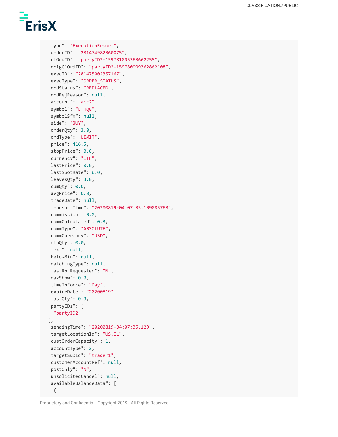

```
"type": "ExecutionReport",
"orderID": "281474982360075",
"clOrdID": "partyID2-159781005363662255",
"origClOrdID": "partyID2-159780999362862108",
"execID": "281475002357167",
"execType": "ORDER_STATUS",
"ordStatus": "REPLACED",
"ordRejReason": null,
"account": "acc2",
"symbol": "ETHQ0",
"symbolSfx": null,
"side": "BUY",
"orderQty": 3.0,
"ordType": "LIMIT",
"price": 416.5,
"stopPrice": 0.0,
"currency": "ETH",
"lastPrice": 0.0,
"lastSpotRate": 0.0,
"leavesQty": 3.0,
"cumQty": 0.0,
"avgPrice": 0.0,
"tradeDate": null,
"transactTime": "20200819-04:07:35.109085763",
"commission": 0.0,
"commCalculated": 0.3,
"commType": "ABSOLUTE",
"commCurrency": "USD",
"minQty": 0.0,
"text": null,
"belowMin": null,
"matchingType": null,
"lastRptRequested": "N",
"maxShow": 0.0,
"timeInForce": "Day",
"expireDate": "20200819",
"lastQty": 0.0,
"partyIDs": [
  "partyID2"
],
"sendingTime": "20200819-04:07:35.129",
"targetLocationId": "US,IL",
"custOrderCapacity": 1,
"accountType": 2,
"targetSubId": "trader1",
"customerAccountRef": null,
"postOnly": "N",
"unsolicitedCancel": null,
"availableBalanceData": [
  {
```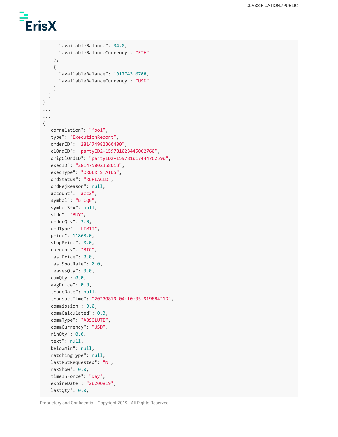

```
"availableBalance": 34.0,
     "availableBalanceCurrency": "ETH"
   },
   {
     "availableBalance": 1017743.6788,
     "availableBalanceCurrency": "USD"
   }
 ]
}
...
...
{
 "correlation": "foo1",
 "type": "ExecutionReport",
 "orderID": "281474982360400",
 "clOrdID": "partyID2-159781023445062760",
 "origClOrdID": "partyID2-159781017444762590",
 "execID": "281475002358013",
 "execType": "ORDER_STATUS",
 "ordStatus": "REPLACED",
 "ordRejReason": null,
 "account": "acc2",
 "symbol": "BTCQ0",
 "symbolSfx": null,
 "side": "BUY",
 "orderQty": 3.0,
 "ordType": "LIMIT",
 "price": 11868.0,
 "stopPrice": 0.0,
 "currency": "BTC",
 "lastPrice": 0.0,
 "lastSpotRate": 0.0,
 "leavesQty": 3.0,
 "cumQty": 0.0,
 "avgPrice": 0.0,
 "tradeDate": null,
  "transactTime": "20200819-04:10:35.919884219",
  "commission": 0.0,
 "commCalculated": 0.3,
  "commType": "ABSOLUTE",
 "commCurrency": "USD",
  "minQty": 0.0,
 "text": null,
 "belowMin": null,
 "matchingType": null,
 "lastRptRequested": "N",
 "maxShow": 0.0,
 "timeInForce": "Day",
  "expireDate": "20200819",
 "lastQty": 0.0,
```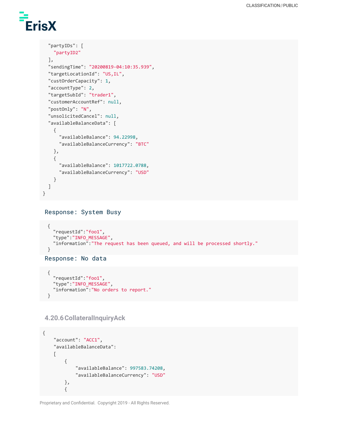# **ErisX**

```
"partyIDs": [
   "partyID2"
  ],
  "sendingTime": "20200819-04:10:35.939",
  "targetLocationId": "US,IL",
  "custOrderCapacity": 1,
 "accountType": 2,
  "targetSubId": "trader1",
  "customerAccountRef": null,
  "postOnly": "N",
  "unsolicitedCancel": null,
  "availableBalanceData": [
   {
      "availableBalance": 94.22998,
     "availableBalanceCurrency": "BTC"
   },
   {
      "availableBalance": 1017722.0788,
      "availableBalanceCurrency": "USD"
   }
 ]
}
```
#### Response: System Busy

```
{
  "requestId":"foo1",
  "type":"INFO_MESSAGE",
  "information":"The request has been queued, and will be processed shortly."
}
Response: No data
```

```
{
  "requestId":"foo1",
  "type":"INFO_MESSAGE",
  "information":"No orders to report."
}
```
<span id="page-50-0"></span>**4.20.6CollateralInquiryAck**

```
{
    "account": "ACC1",
    "availableBalanceData":
    [
        {
            "availableBalance": 997583.74208,
            "availableBalanceCurrency": "USD"
        },
        {
```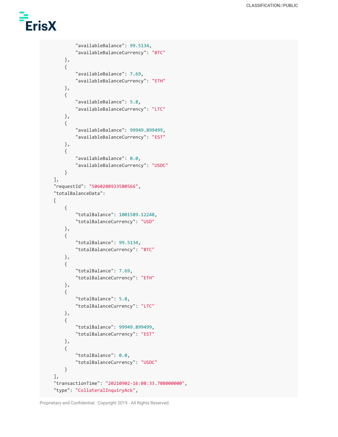

```
"availableBalance": 99.5134,
        "availableBalanceCurrency": "BTC"
    },
    {
        "availableBalance": 7.69,
        "availableBalanceCurrency": "ETH"
    },
    {
        "availableBalance": 5.8,
        "availableBalanceCurrency": "LTC"
    },
    {
        "availableBalance": 99949.899499,
        "availableBalanceCurrency": "EST"
    },
    {
        "availableBalance": 0.0,
        "availableBalanceCurrency": "USDC"
    }
],
"requestId": "5060208933580566",
"totalBalanceData":
\Gamma{
        "totalBalance": 1001589.12248,
        "totalBalanceCurrency": "USD"
    },
    {
        "totalBalance": 99.5134,
        "totalBalanceCurrency": "BTC"
    },
    {
        "totalBalance": 7.69,
        "totalBalanceCurrency": "ETH"
    },
    {
        "totalBalance": 5.8,
        "totalBalanceCurrency": "LTC"
    },
    {
        "totalBalance": 99949.899499,
        "totalBalanceCurrency": "EST"
    },
    {
        "totalBalance": 0.0,
        "totalBalanceCurrency": "USDC"
    }
],
"transactionTime": "20210902-16:08:33.708000000",
"type": "CollateralInquiryAck",
```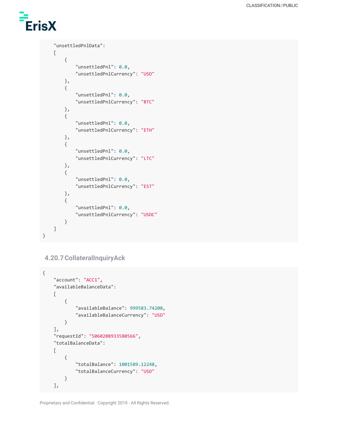# **ErisX**

```
"unsettledPnlData":
    [
       {
            "unsettledPnl": 0.0,
            "unsettledPnlCurrency": "USD"
       },
       {
            "unsettledPnl": 0.0,
            "unsettledPnlCurrency": "BTC"
       },
        {
            "unsettledPnl": 0.0,
            "unsettledPnlCurrency": "ETH"
       },
       {
            "unsettledPnl": 0.0,
            "unsettledPnlCurrency": "LTC"
       },
       {
            "unsettledPnl": 0.0,
            "unsettledPnlCurrency": "EST"
       },
       {
            "unsettledPnl": 0.0,
            "unsettledPnlCurrency": "USDC"
       }
   ]
}
```
## <span id="page-52-0"></span>**4.20.7CollateralInquiryAck**

```
{
    "account": "ACC1",
   "availableBalanceData":
    [
        {
            "availableBalance": 999583.74208,
            "availableBalanceCurrency": "USD"
        }
   ],
    "requestId": "5060208933580566",
    "totalBalanceData":
    \Gamma{
            "totalBalance": 1001589.12248,
            "totalBalanceCurrency": "USD"
        }
   ],
```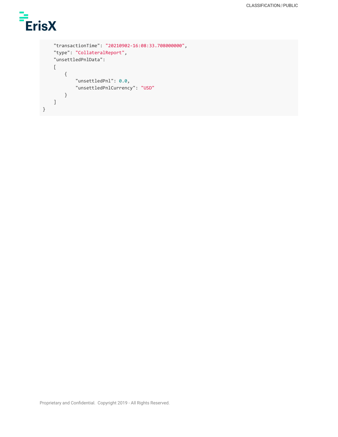

```
"transactionTime": "20210902-16:08:33.708000000",
    "type": "CollateralReport",
    "unsettledPnlData":
    [
        {
            "unsettledPnl": 0.0,
            "unsettledPnlCurrency": "USD"
        }
    ]
}
```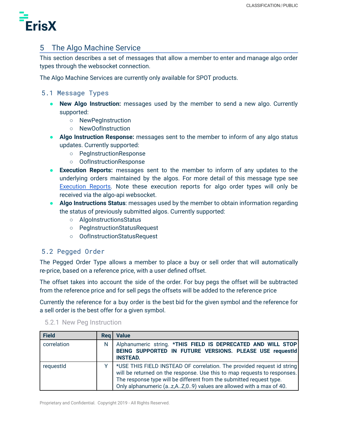

## <span id="page-54-0"></span>5 The Algo Machine Service

This section describes a set of messages that allow a member to enter and manage algo order types through the websocket connection.

The Algo Machine Services are currently only available for SPOT products.

## <span id="page-54-1"></span>5.1 Message Types

- **New Algo Instruction:** messages used by the member to send a new algo. Currently supported:
	- NewPegInstruction
	- NewOofInstruction
- **Algo Instruction Response:** messages sent to the member to inform of any algo status updates. Currently supported:
	- PegInstructionResponse
	- OofInstructionResponse
- **Execution Reports:** messages sent to the member to inform of any updates to the underlying orders maintained by the algos. For more detail of this message type see [Execution](#page-34-0) Reports. Note these execution reports for algo order types will only be received via the algo-api websocket.
- **Algo Instructions Status**: messages used by the member to obtain information regarding the status of previously submitted algos. Currently supported:
	- AlgoInstructionsStatus
	- PegInstructionStatusRequest
	- OofInstructionStatusRequest

## <span id="page-54-2"></span>5.2 Pegged Order

The Pegged Order Type allows a member to place a buy or sell order that will automatically re-price, based on a reference price, with a user defined offset.

The offset takes into account the side of the order. For buy pegs the offset will be subtracted from the reference price and for sell pegs the offsets will be added to the reference price

Currently the reference for a buy order is the best bid for the given symbol and the reference for a sell order is the best offer for a given symbol.

| Field       | <b>Reg</b> | <b>Value</b>                                                                                                                                                                                                                                                                                      |
|-------------|------------|---------------------------------------------------------------------------------------------------------------------------------------------------------------------------------------------------------------------------------------------------------------------------------------------------|
| correlation | N          | Alphanumeric string. *THIS FIELD IS DEPRECATED AND WILL STOP<br>BEING SUPPORTED IN FUTURE VERSIONS. PLEASE USE requestId<br><b>INSTEAD.</b>                                                                                                                                                       |
| requestId   |            | *USE THIS FIELD INSTEAD OF correlation. The provided request id string<br>will be returned on the response. Use this to map requests to responses.<br>The response type will be different from the submitted request type.<br>Only alphanumeric (az, AZ, 09) values are allowed with a max of 40. |

#### <span id="page-54-3"></span>5.2.1 New Peg Instruction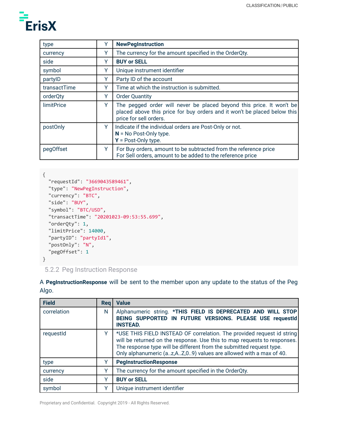

| type              |   | <b>NewPegInstruction</b>                                                                                                                                                   |
|-------------------|---|----------------------------------------------------------------------------------------------------------------------------------------------------------------------------|
| currency          | Y | The currency for the amount specified in the OrderQty.                                                                                                                     |
| side              | Y | <b>BUY or SELL</b>                                                                                                                                                         |
| symbol            | Υ | Unique instrument identifier                                                                                                                                               |
| partylD           | Υ | Party ID of the account                                                                                                                                                    |
| transactTime      | Y | Time at which the instruction is submitted.                                                                                                                                |
| orderQty          | Y | <b>Order Quantity</b>                                                                                                                                                      |
| <b>limitPrice</b> | Y | The pegged order will never be placed beyond this price. It won't be<br>placed above this price for buy orders and it won't be placed below this<br>price for sell orders. |
| postOnly          | Y | Indicate if the individual orders are Post-Only or not.<br>$N = No$ Post-Only type.<br>$Y = Post-Only type.$                                                               |
| pegOffset         | Y | For Buy orders, amount to be subtracted from the reference price<br>For Sell orders, amount to be added to the reference price                                             |

```
{
```
}

```
"requestId": "3669043589461",
"type": "NewPegInstruction",
"currency": "BTC",
"side": "BUY",
"symbol": "BTC/USD",
"transactTime": "20201023-09:53:55.699",
"orderQty": 1,
"limitPrice": 14000,
"partyID": "partyId1",
"postOnly": "N",
"pegOffset": 1
```
<span id="page-55-0"></span>5.2.2 Peg Instruction Response

| <b>Field</b> | Rea | <b>Value</b>                                                                                                                                                                                                                                                                                    |
|--------------|-----|-------------------------------------------------------------------------------------------------------------------------------------------------------------------------------------------------------------------------------------------------------------------------------------------------|
| correlation  | N   | Alphanumeric string. *THIS FIELD IS DEPRECATED AND WILL STOP<br>BEING SUPPORTED IN FUTURE VERSIONS. PLEASE USE requestId<br><b>INSTEAD.</b>                                                                                                                                                     |
| requestid    | Y   | *USE THIS FIELD INSTEAD OF correlation. The provided request id string<br>will be returned on the response. Use this to map requests to responses.<br>The response type will be different from the submitted request type.<br>Only alphanumeric (az,AZ,09) values are allowed with a max of 40. |
| type         |     | <b>PegInstructionResponse</b>                                                                                                                                                                                                                                                                   |
| currency     |     | The currency for the amount specified in the OrderQty.                                                                                                                                                                                                                                          |
| side         | v   | <b>BUY or SELL</b>                                                                                                                                                                                                                                                                              |
| symbol       |     | Unique instrument identifier                                                                                                                                                                                                                                                                    |

A **PegInstructionResponse** will be sent to the member upon any update to the status of the Peg Algo.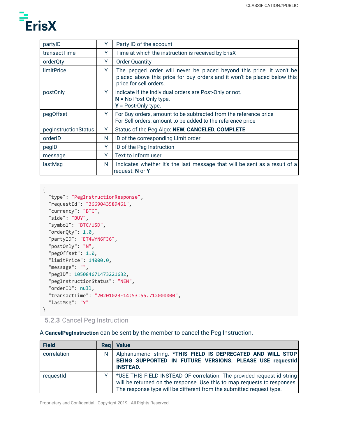

| partylD              | Y | Party ID of the account                                                                                                                                                    |
|----------------------|---|----------------------------------------------------------------------------------------------------------------------------------------------------------------------------|
| transactTime         | Y | Time at which the instruction is received by ErisX                                                                                                                         |
| orderQty             | Y | <b>Order Quantity</b>                                                                                                                                                      |
| <b>limitPrice</b>    | Y | The pegged order will never be placed beyond this price. It won't be<br>placed above this price for buy orders and it won't be placed below this<br>price for sell orders. |
| postOnly             | Y | Indicate if the individual orders are Post-Only or not.<br>$N = No$ Post-Only type.<br>$Y = Post-Only type.$                                                               |
| pegOffset            | Y | For Buy orders, amount to be subtracted from the reference price<br>For Sell orders, amount to be added to the reference price                                             |
| pegInstructionStatus | Y | Status of the Peg Algo: NEW, CANCELED, COMPLETE                                                                                                                            |
| orderID              | N | ID of the corresponding Limit order                                                                                                                                        |
| pegID                | Y | ID of the Peg Instruction                                                                                                                                                  |
| message              | Y | Text to inform user                                                                                                                                                        |
| lastMsq              | N | Indicates whether it's the last message that will be sent as a result of a<br>request: N or Y                                                                              |

```
{
  "type": "PegInstructionResponse",
  "requestId": "3669043589461",
  "currency": "BTC",
  "side": "BUY",
  "symbol": "BTC/USD",
  "orderQty": 1.0,
  "partyID": "ET4WYN6FJ6",
  "postOnly": "N",
  "pegOffset": 1.0,
  "limitPrice": 14000.0,
  "message": "",
  "pegID": 105084671473221632,
  "pegInstructionStatus": "NEW",
  "orderID": null,
  "transactTime": "20201023-14:53:55.712000000",
  "lastMsg": "Y"
}
```
<span id="page-56-0"></span>**5.2.3** Cancel Peg Instruction

A **CancelPegInstruction** can be sent by the member to cancel the Peg Instruction.

| <b>Field</b> | <b>Rea</b> | <b>Value</b>                                                                                                                                                                                                               |
|--------------|------------|----------------------------------------------------------------------------------------------------------------------------------------------------------------------------------------------------------------------------|
| correlation  | N          | Alphanumeric string. *THIS FIELD IS DEPRECATED AND WILL STOP<br>BEING SUPPORTED IN FUTURE VERSIONS. PLEASE USE requestId<br><b>INSTEAD.</b>                                                                                |
| requestId    |            | *USE THIS FIELD INSTEAD OF correlation. The provided request id string<br>will be returned on the response. Use this to map requests to responses.<br>The response type will be different from the submitted request type. |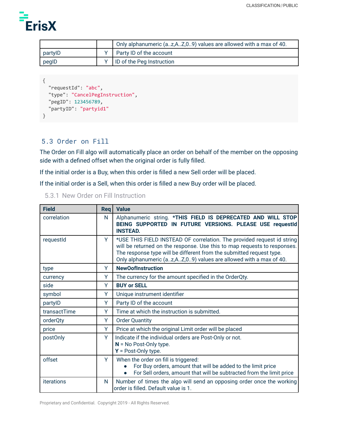

|         | Only alphanumeric (az,AZ,09) values are allowed with a max of 40. |
|---------|-------------------------------------------------------------------|
| partyID | <b>Party ID of the account</b>                                    |
| pegID   | ID of the Peg Instruction                                         |

```
{
  "requestId": "abc",
  "type": "CancelPegInstruction",
  "pegID": 123456789,
 "partyID": "partyid1"
}
```
## <span id="page-57-0"></span>5.3 Order on Fill

The Order on Fill algo will automatically place an order on behalf of the member on the opposing side with a defined offset when the original order is fully filled.

If the initial order is a Buy, when this order is filled a new Sell order will be placed.

If the initial order is a Sell, when this order is filled a new Buy order will be placed.

<span id="page-57-1"></span>

|  |  |  | 5.3.1 New Order on Fill Instruction |
|--|--|--|-------------------------------------|
|--|--|--|-------------------------------------|

| <b>Field</b> | <b>Rea</b> | <b>Value</b>                                                                                                                                                                                                                                                                                        |
|--------------|------------|-----------------------------------------------------------------------------------------------------------------------------------------------------------------------------------------------------------------------------------------------------------------------------------------------------|
| correlation  | N          | Alphanumeric string. *THIS FIELD IS DEPRECATED AND WILL STOP<br>BEING SUPPORTED IN FUTURE VERSIONS. PLEASE USE requestId<br><b>INSTEAD.</b>                                                                                                                                                         |
| requestId    | Y          | *USE THIS FIELD INSTEAD OF correlation. The provided request id string<br>will be returned on the response. Use this to map requests to responses.<br>The response type will be different from the submitted request type.<br>Only alphanumeric (az, A Z, 0 9) values are allowed with a max of 40. |
| type         | Y          | <b>NewOofInstruction</b>                                                                                                                                                                                                                                                                            |
| currency     | Y          | The currency for the amount specified in the OrderQty.                                                                                                                                                                                                                                              |
| side         | Y          | <b>BUY or SELL</b>                                                                                                                                                                                                                                                                                  |
| symbol       | Y          | Unique instrument identifier                                                                                                                                                                                                                                                                        |
| partylD      | Y          | Party ID of the account                                                                                                                                                                                                                                                                             |
| transactTime | Y          | Time at which the instruction is submitted.                                                                                                                                                                                                                                                         |
| orderQty     | Y          | <b>Order Quantity</b>                                                                                                                                                                                                                                                                               |
| price        | Y          | Price at which the original Limit order will be placed                                                                                                                                                                                                                                              |
| postOnly     | Y          | Indicate if the individual orders are Post-Only or not.<br>$N = No$ Post-Only type.<br>$Y = Post-Only type.$                                                                                                                                                                                        |
| offset       | Y          | When the order on fill is triggered:<br>For Buy orders, amount that will be added to the limit price<br>For Sell orders, amount that will be subtracted from the limit price                                                                                                                        |
| iterations   | N          | Number of times the algo will send an opposing order once the working<br>order is filled. Default value is 1.                                                                                                                                                                                       |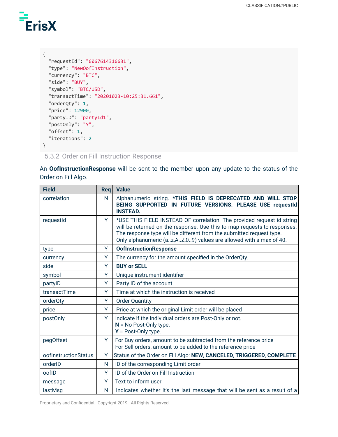

```
{
  "requestId": "6067614316631",
 "type": "NewOofInstruction",
  "currency": "BTC",
  "side": "BUY",
  "symbol": "BTC/USD",
  "transactTime": "20201023-10:25:31.661",
  "orderQty": 1,
  "price": 12900,
  "partyID": "partyId1",
  "postOnly": "Y",
 "offset": 1,
 "iterations": 2
}
```
<span id="page-58-0"></span>5.3.2 Order on Fill Instruction Response

An **OofInstructionResponse** will be sent to the member upon any update to the status of the Order on Fill Algo.

| <b>Field</b>         | Req | <b>Value</b>                                                                                                                                                                                                                                                                                        |
|----------------------|-----|-----------------------------------------------------------------------------------------------------------------------------------------------------------------------------------------------------------------------------------------------------------------------------------------------------|
| correlation          | N   | Alphanumeric string. *THIS FIELD IS DEPRECATED AND WILL STOP<br>BEING SUPPORTED IN FUTURE VERSIONS. PLEASE USE requestId<br><b>INSTEAD.</b>                                                                                                                                                         |
| requestId            | Y   | *USE THIS FIELD INSTEAD OF correlation. The provided request id string<br>will be returned on the response. Use this to map requests to responses.<br>The response type will be different from the submitted request type.<br>Only alphanumeric (az, A Z, 0 9) values are allowed with a max of 40. |
| type                 | Y   | <b>OofInstructionResponse</b>                                                                                                                                                                                                                                                                       |
| currency             | Y   | The currency for the amount specified in the OrderQty.                                                                                                                                                                                                                                              |
| side                 | Y   | <b>BUY or SELL</b>                                                                                                                                                                                                                                                                                  |
| symbol               | Y   | Unique instrument identifier                                                                                                                                                                                                                                                                        |
| partylD              | Y   | Party ID of the account                                                                                                                                                                                                                                                                             |
| transactTime         | Y   | Time at which the instruction is received                                                                                                                                                                                                                                                           |
| orderQty             | Y   | <b>Order Quantity</b>                                                                                                                                                                                                                                                                               |
| price                | Y   | Price at which the original Limit order will be placed                                                                                                                                                                                                                                              |
| postOnly             | Y   | Indicate if the individual orders are Post-Only or not.<br>$N = No$ Post-Only type.<br>$Y = Post-Only type.$                                                                                                                                                                                        |
| pegOffset            | Y   | For Buy orders, amount to be subtracted from the reference price<br>For Sell orders, amount to be added to the reference price                                                                                                                                                                      |
| oofInstructionStatus | Y   | Status of the Order on Fill Algo: NEW, CANCELED, TRIGGERED, COMPLETE                                                                                                                                                                                                                                |
| orderID              | N   | ID of the corresponding Limit order                                                                                                                                                                                                                                                                 |
| oofID                | Y   | ID of the Order on Fill Instruction                                                                                                                                                                                                                                                                 |
| message              | Y   | Text to inform user                                                                                                                                                                                                                                                                                 |
| lastMsd              | N   | Indicates whether it's the last message that will be sent as a result of a                                                                                                                                                                                                                          |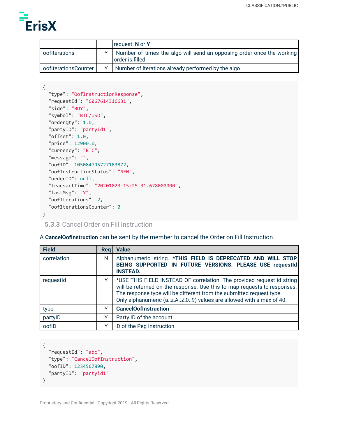

|                      | request: N or Y                                                                          |
|----------------------|------------------------------------------------------------------------------------------|
| oofIterations        | Number of times the algo will send an opposing order once the working<br>order is filled |
| oofIterationsCounter | Number of iterations already performed by the algo                                       |

```
{
 "type": "OofInstructionResponse",
  "requestId": "6067614316631",
 "side": "BUY",
 "symbol": "BTC/USD",
 "orderQty": 1.0,
 "partyID": "partyId1",
 "offset": 1.0,
 "price": 12900.0,
 "currency": "BTC",
 "message": "",
 "oofID": 105084795727183872,
  "oofInstructionStatus": "NEW",
 "orderID": null,
  "transactTime": "20201023-15:25:31.678000000",
 "lastMsg": "Y",
 "oofIterations": 2,
  "oofIterationsCounter": 0
}
```
<span id="page-59-0"></span>**5.3.3** Cancel Order on Fill Instruction

A **CancelOofInstruction** can be sent by the member to cancel the Order on Fill Instruction.

| <b>Field</b> | <b>Reg</b> | <b>Value</b>                                                                                                                                                                                                                                                                                      |
|--------------|------------|---------------------------------------------------------------------------------------------------------------------------------------------------------------------------------------------------------------------------------------------------------------------------------------------------|
| correlation  | N          | Alphanumeric string. * THIS FIELD IS DEPRECATED AND WILL STOP<br>BEING SUPPORTED IN FUTURE VERSIONS. PLEASE USE requestId<br><b>INSTEAD.</b>                                                                                                                                                      |
| requestid    | v          | *USE THIS FIELD INSTEAD OF correlation. The provided request id string<br>will be returned on the response. Use this to map requests to responses.<br>The response type will be different from the submitted request type.<br>Only alphanumeric (az, AZ, 09) values are allowed with a max of 40. |
| type         |            | <b>CancelOofInstruction</b>                                                                                                                                                                                                                                                                       |
| partylD      |            | Party ID of the account                                                                                                                                                                                                                                                                           |
| oofID        |            | ID of the Peg Instruction                                                                                                                                                                                                                                                                         |

```
{
  "requestId": "abc",
 "type": "CancelOofInstruction",
 "oofID": 1234567890,
 "partyID": "partyid1"
}
```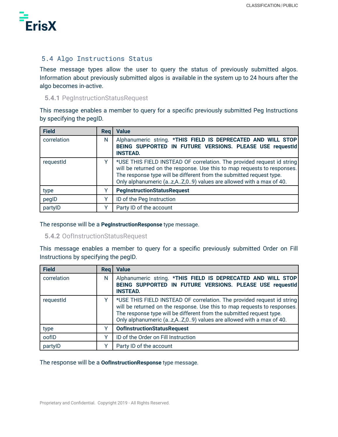

## <span id="page-60-0"></span>5.4 Algo Instructions Status

These message types allow the user to query the status of previously submitted algos. Information about previously submitted algos is available in the system up to 24 hours after the algo becomes in-active.

#### <span id="page-60-1"></span>**5.4.1** PegInstructionStatusRequest

This message enables a member to query for a specific previously submitted Peg Instructions by specifying the pegID.

| <b>Field</b> | <b>Reg</b> | <b>Value</b>                                                                                                                                                                                                                                                                                    |
|--------------|------------|-------------------------------------------------------------------------------------------------------------------------------------------------------------------------------------------------------------------------------------------------------------------------------------------------|
| correlation  | N          | Alphanumeric string. *THIS FIELD IS DEPRECATED AND WILL STOP<br>BEING SUPPORTED IN FUTURE VERSIONS. PLEASE USE requestId<br><b>INSTEAD.</b>                                                                                                                                                     |
| requestId    | v          | *USE THIS FIELD INSTEAD OF correlation. The provided request id string<br>will be returned on the response. Use this to map requests to responses.<br>The response type will be different from the submitted request type.<br>Only alphanumeric (az,AZ,09) values are allowed with a max of 40. |
| type         |            | <b>PegInstructionStatusRequest</b>                                                                                                                                                                                                                                                              |
| pegID        |            | ID of the Peg Instruction                                                                                                                                                                                                                                                                       |
| partylD      | v          | Party ID of the account                                                                                                                                                                                                                                                                         |

The response will be a **PegInstructionResponse** type message.

#### <span id="page-60-2"></span>**5.4.2** OofInstructionStatusRequest

This message enables a member to query for a specific previously submitted Order on Fill Instructions by specifying the pegID.

| Field       | Rea | <b>Value</b>                                                                                                                                                                                                                                                                                    |
|-------------|-----|-------------------------------------------------------------------------------------------------------------------------------------------------------------------------------------------------------------------------------------------------------------------------------------------------|
| correlation | N   | Alphanumeric string. *THIS FIELD IS DEPRECATED AND WILL STOP<br>BEING SUPPORTED IN FUTURE VERSIONS. PLEASE USE requestId<br><b>INSTEAD.</b>                                                                                                                                                     |
| requestId   |     | *USE THIS FIELD INSTEAD OF correlation. The provided request id string<br>will be returned on the response. Use this to map requests to responses.<br>The response type will be different from the submitted request type.<br>Only alphanumeric (az,AZ,09) values are allowed with a max of 40. |
| type        |     | <b>OofInstructionStatusRequest</b>                                                                                                                                                                                                                                                              |
| oofID       |     | ID of the Order on Fill Instruction                                                                                                                                                                                                                                                             |
| partylD     |     | Party ID of the account                                                                                                                                                                                                                                                                         |

#### The response will be a **OofInstructionResponse** type message.